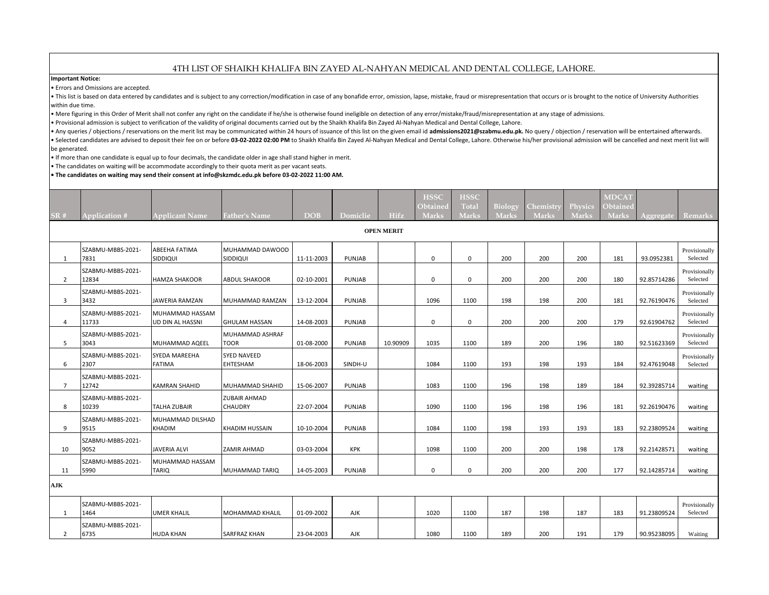## 4TH LIST OF SHAIKH KHALIFA BIN ZAYED AL-NAHYAN MEDICAL AND DENTAL COLLEGE, LAHORE.

**Important Notice:**

• Errors and Omissions are accepted.

. This list is based on data entered by candidates and is subject to any correction/modification in case of any bonafide error, omission, lapse, mistake, fraud or misrepresentation that occurs or is brought to the notice o within due time.

• Mere figuring in this Order of Merit shall not confer any right on the candidate if he/she is otherwise found ineligible on detection of any error/mistake/fraud/misrepresentation at any stage of admissions.

• Provisional admission is subject to verification of the validity of original documents carried out by the Shaikh Khalifa Bin Zayed Al-Nahyan Medical and Dental College, Lahore.

Any queries / objections / reservations on the merit list may be communicated within 24 hours of issuance of this list on the given email id admissions2021@szabmu.edu.pk. No query / objection / reservation will be entertai . Selected candidates are advised to deposit their fee on or before 03-02-2022 02:00 PM to Shaikh Khalifa Bin Zayed Al-Nahyan Medical and Dental College, Lahore. Otherwise his/her provisional admission will be cancelled an be generated.

• If more than one candidate is equal up to four decimals, the candidate older in age shall stand higher in merit.

• The candidates on waiting will be accommodate accordingly to their quota merit as per vacant seats.

**• The candidates on waiting may send their consent at info@skzmdc.edu.pk before 03-02-2022 11:00 AM.**

|                |                            |                                     |                                |            |            |                                  | <b>HSSC</b><br>Obtained | <b>HSSC</b><br>Total | Biology      | Chemistry    | Physics      | <b>MDCAT</b><br>Obtained |             |                           |
|----------------|----------------------------|-------------------------------------|--------------------------------|------------|------------|----------------------------------|-------------------------|----------------------|--------------|--------------|--------------|--------------------------|-------------|---------------------------|
| SR#            | <b>Application #</b>       | <b>Applicant Name</b>               | <b>Father's Name</b>           | <b>DOB</b> | Domiclie   | <b>Hifz</b><br><b>OPEN MERIT</b> | <b>Marks</b>            | <b>Marks</b>         | <b>Marks</b> | <b>Marks</b> | <b>Marks</b> | <b>Marks</b>             | Aggregate   | Remarks                   |
|                |                            |                                     |                                |            |            |                                  |                         |                      |              |              |              |                          |             |                           |
| 1              | SZABMU-MBBS-2021-<br>7831  | <b>ABEEHA FATIMA</b><br>SIDDIQUI    | MUHAMMAD DAWOOD<br>SIDDIQUI    | 11-11-2003 | PUNJAB     |                                  | 0                       | 0                    | 200          | 200          | 200          | 181                      | 93.0952381  | Provisionally<br>Selected |
| $\overline{2}$ | SZABMU-MBBS-2021-<br>12834 | HAMZA SHAKOOR                       | <b>ABDUL SHAKOOR</b>           | 02-10-2001 | PUNJAB     |                                  | $\mathbf 0$             | $\mathbf 0$          | 200          | 200          | 200          | 180                      | 92.85714286 | Provisionally<br>Selected |
| 3              | SZABMU-MBBS-2021-<br>3432  | <b>JAWERIA RAMZAN</b>               | MUHAMMAD RAMZAN                | 13-12-2004 | PUNJAB     |                                  | 1096                    | 1100                 | 198          | 198          | 200          | 181                      | 92.76190476 | Provisionally<br>Selected |
| 4              | SZABMU-MBBS-2021-<br>11733 | MUHAMMAD HASSAM<br>UD DIN AL HASSNI | <b>GHULAM HASSAN</b>           | 14-08-2003 | PUNJAB     |                                  | 0                       | 0                    | 200          | 200          | 200          | 179                      | 92.61904762 | Provisionally<br>Selected |
| 5              | SZABMU-MBBS-2021-<br>3043  | MUHAMMAD AQEEL                      | MUHAMMAD ASHRAF<br><b>TOOR</b> | 01-08-2000 | PUNJAB     | 10.90909                         | 1035                    | 1100                 | 189          | 200          | 196          | 180                      | 92.51623369 | Provisionally<br>Selected |
| 6              | SZABMU-MBBS-2021-<br>2307  | SYEDA MAREEHA<br><b>FATIMA</b>      | <b>SYED NAVEED</b><br>EHTESHAM | 18-06-2003 | SINDH-U    |                                  | 1084                    | 1100                 | 193          | 198          | 193          | 184                      | 92.47619048 | Provisionally<br>Selected |
| $\overline{7}$ | SZABMU-MBBS-2021-<br>12742 | <b>KAMRAN SHAHID</b>                | MUHAMMAD SHAHID                | 15-06-2007 | PUNJAB     |                                  | 1083                    | 1100                 | 196          | 198          | 189          | 184                      | 92.39285714 | waiting                   |
| 8              | SZABMU-MBBS-2021-<br>10239 | <b>TALHA ZUBAIR</b>                 | <b>ZUBAIR AHMAD</b><br>CHAUDRY | 22-07-2004 | PUNJAB     |                                  | 1090                    | 1100                 | 196          | 198          | 196          | 181                      | 92.26190476 | waiting                   |
| 9              | SZABMU-MBBS-2021-<br>9515  | MUHAMMAD DILSHAD<br>KHADIM          | KHADIM HUSSAIN                 | 10-10-2004 | PUNJAB     |                                  | 1084                    | 1100                 | 198          | 193          | 193          | 183                      | 92.23809524 | waiting                   |
| 10             | SZABMU-MBBS-2021-<br>9052  | <b>JAVERIA ALVI</b>                 | ZAMIR AHMAD                    | 03-03-2004 | <b>KPK</b> |                                  | 1098                    | 1100                 | 200          | 200          | 198          | 178                      | 92.21428571 | waiting                   |
| 11             | SZABMU-MBBS-2021-<br>5990  | MUHAMMAD HASSAM<br><b>TARIQ</b>     | MUHAMMAD TARIQ                 | 14-05-2003 | PUNJAB     |                                  | 0                       | $\mathbf 0$          | 200          | 200          | 200          | 177                      | 92.14285714 | waiting                   |
| AJK            |                            |                                     |                                |            |            |                                  |                         |                      |              |              |              |                          |             |                           |
| 1              | SZABMU-MBBS-2021-<br>1464  | UMER KHALIL                         | <b>MOHAMMAD KHALIL</b>         | 01-09-2002 | AJK        |                                  | 1020                    | 1100                 | 187          | 198          | 187          | 183                      | 91.23809524 | Provisionally<br>Selected |
| 2              | SZABMU-MBBS-2021-<br>6735  | <b>HUDA KHAN</b>                    | SARFRAZ KHAN                   | 23-04-2003 | AJK        |                                  | 1080                    | 1100                 | 189          | 200          | 191          | 179                      | 90.95238095 | Waiting                   |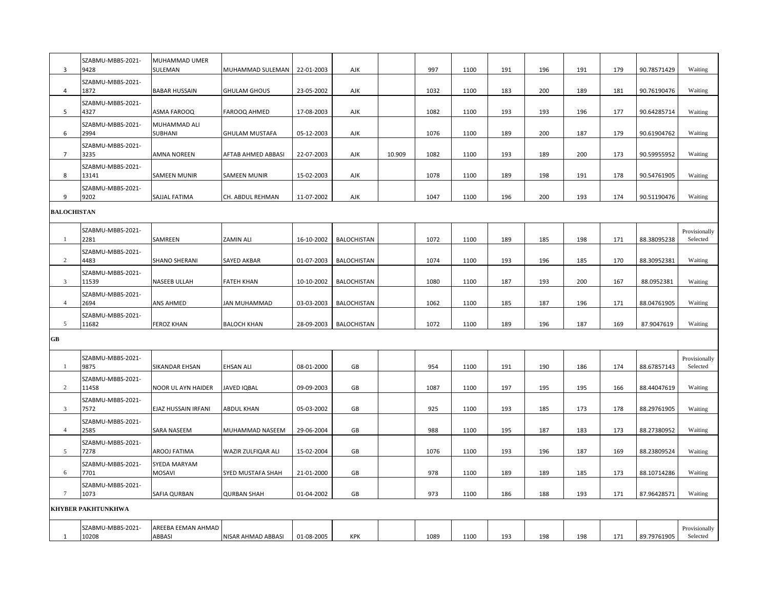| 3                  | SZABMU-MBBS-2021-<br>9428  | MUHAMMAD UMER<br>SULEMAN            | MUHAMMAD SULEMAN      | 22-01-2003 | AJK                |        | 997  | 1100 | 191 | 196 | 191 | 179 | 90.78571429 | Waiting                   |
|--------------------|----------------------------|-------------------------------------|-----------------------|------------|--------------------|--------|------|------|-----|-----|-----|-----|-------------|---------------------------|
| $\overline{4}$     | SZABMU-MBBS-2021-<br>1872  | <b>BABAR HUSSAIN</b>                | <b>GHULAM GHOUS</b>   | 23-05-2002 | AJK                |        | 1032 | 1100 | 183 | 200 | 189 | 181 | 90.76190476 | Waiting                   |
| 5                  | SZABMU-MBBS-2021-<br>4327  | <b>ASMA FAROOQ</b>                  | FAROOQ AHMED          | 17-08-2003 | AJK                |        | 1082 | 1100 | 193 | 193 | 196 | 177 | 90.64285714 | Waiting                   |
| 6                  | SZABMU-MBBS-2021-<br>2994  | MUHAMMAD ALI<br>SUBHANI             | <b>GHULAM MUSTAFA</b> | 05-12-2003 | AJK                |        | 1076 | 1100 | 189 | 200 | 187 | 179 | 90.61904762 | Waiting                   |
| $\overline{7}$     | SZABMU-MBBS-2021-<br>3235  | <b>AMNA NOREEN</b>                  | AFTAB AHMED ABBASI    | 22-07-2003 | AJK                | 10.909 | 1082 | 1100 | 193 | 189 | 200 | 173 | 90.59955952 | Waiting                   |
| 8                  | SZABMU-MBBS-2021-<br>13141 | <b>SAMEEN MUNIR</b>                 | <b>SAMEEN MUNIR</b>   | 15-02-2003 | AJK                |        | 1078 | 1100 | 189 | 198 | 191 | 178 | 90.54761905 | Waiting                   |
| 9                  | SZABMU-MBBS-2021-<br>9202  | SAJJAL FATIMA                       | CH. ABDUL REHMAN      | 11-07-2002 | AJK                |        | 1047 | 1100 | 196 | 200 | 193 | 174 | 90.51190476 | Waiting                   |
| <b>BALOCHISTAN</b> |                            |                                     |                       |            |                    |        |      |      |     |     |     |     |             |                           |
| -1                 | SZABMU-MBBS-2021-<br>2281  | SAMREEN                             | <b>ZAMIN ALI</b>      | 16-10-2002 | <b>BALOCHISTAN</b> |        | 1072 | 1100 | 189 | 185 | 198 | 171 | 88.38095238 | Provisionally<br>Selected |
| $\overline{2}$     | SZABMU-MBBS-2021-<br>4483  | <b>SHANO SHERANI</b>                | SAYED AKBAR           | 01-07-2003 | BALOCHISTAN        |        | 1074 | 1100 | 193 | 196 | 185 | 170 | 88.30952381 | Waiting                   |
| 3                  | SZABMU-MBBS-2021-<br>11539 | <b>NASEEB ULLAH</b>                 | <b>FATEH KHAN</b>     | 10-10-2002 | BALOCHISTAN        |        | 1080 | 1100 | 187 | 193 | 200 | 167 | 88.0952381  | Waiting                   |
| $\overline{4}$     | SZABMU-MBBS-2021-<br>2694  | <b>ANS AHMED</b>                    | JAN MUHAMMAD          | 03-03-2003 | BALOCHISTAN        |        | 1062 | 1100 | 185 | 187 | 196 | 171 | 88.04761905 | Waiting                   |
| 5                  | SZABMU-MBBS-2021-<br>11682 | <b>FEROZ KHAN</b>                   | <b>BALOCH KHAN</b>    | 28-09-2003 | <b>BALOCHISTAN</b> |        | 1072 | 1100 | 189 | 196 | 187 | 169 | 87.9047619  | Waiting                   |
| $G$ B              |                            |                                     |                       |            |                    |        |      |      |     |     |     |     |             |                           |
| -1                 | SZABMU-MBBS-2021-<br>9875  | <b>SIKANDAR EHSAN</b>               | <b>EHSAN ALI</b>      | 08-01-2000 | GB                 |        | 954  | 1100 | 191 | 190 | 186 | 174 | 88.67857143 | Provisionally<br>Selected |
| 2                  | SZABMU-MBBS-2021-<br>11458 | NOOR UL AYN HAIDER                  | JAVED IQBAL           | 09-09-2003 | GB                 |        | 1087 | 1100 | 197 | 195 | 195 | 166 | 88.44047619 | Waiting                   |
| $\mathbf{3}$       | SZABMU-MBBS-2021-<br>7572  | EJAZ HUSSAIN IRFANI                 | <b>ABDUL KHAN</b>     | 05-03-2002 | GB                 |        | 925  | 1100 | 193 | 185 | 173 | 178 | 88.29761905 | Waiting                   |
| $\overline{4}$     | SZABMU-MBBS-2021-<br>2585  | <b>SARA NASEEM</b>                  | MUHAMMAD NASEEM       | 29-06-2004 | GB                 |        | 988  | 1100 | 195 | 187 | 183 | 173 | 88.27380952 | Waiting                   |
| 5                  | SZABMU-MBBS-2021-<br>7278  | AROOJ FATIMA                        | WAZIR ZULFIQAR ALI    | 15-02-2004 | GB                 |        | 1076 | 1100 | 193 | 196 | 187 | 169 | 88.23809524 | Waiting                   |
| 6                  | SZABMU-MBBS-2021-<br>7701  | SYEDA MARYAM<br><b>MOSAVI</b>       | SYED MUSTAFA SHAH     | 21-01-2000 | GB                 |        | 978  | 1100 | 189 | 189 | 185 | 173 | 88.10714286 | Waiting                   |
| $\tau$             | SZABMU-MBBS-2021-<br>1073  | SAFIA QURBAN                        | <b>QURBAN SHAH</b>    | 01-04-2002 | GB                 |        | 973  | 1100 | 186 | 188 | 193 | 171 | 87.96428571 | Waiting                   |
|                    | <b>KHYBER PAKHTUNKHWA</b>  |                                     |                       |            |                    |        |      |      |     |     |     |     |             |                           |
| 1                  | SZABMU-MBBS-2021-<br>10208 | AREEBA EEMAN AHMAD<br><b>ABBASI</b> | NISAR AHMAD ABBASI    | 01-08-2005 | KPK                |        | 1089 | 1100 | 193 | 198 | 198 | 171 | 89.79761905 | Provisionally<br>Selected |
|                    |                            |                                     |                       |            |                    |        |      |      |     |     |     |     |             |                           |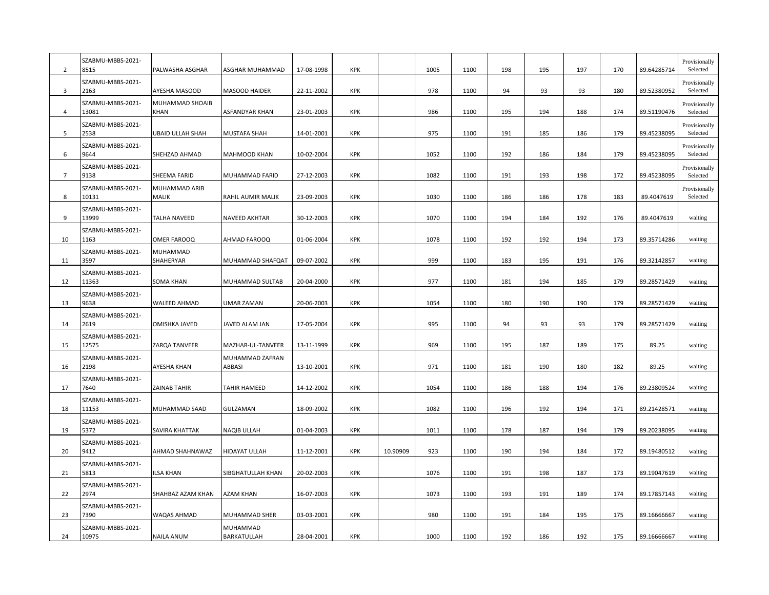| 2              | SZABMU-MBBS-2021-<br>8515          | PALWASHA ASGHAR                  | ASGHAR MUHAMMAD                          | 17-08-1998               | <b>KPK</b>               |          | 1005 | 1100         | 198        | 195        | 197        | 170        | 89.64285714                | Provisionally<br>Selected |
|----------------|------------------------------------|----------------------------------|------------------------------------------|--------------------------|--------------------------|----------|------|--------------|------------|------------|------------|------------|----------------------------|---------------------------|
| 3              | SZABMU-MBBS-2021-<br>2163          | AYESHA MASOOD                    | MASOOD HAIDER                            | 22-11-2002               | <b>KPK</b>               |          | 978  | 1100         | 94         | 93         | 93         | 180        | 89.52380952                | Provisionally<br>Selected |
| 4              | SZABMU-MBBS-2021-<br>13081         | MUHAMMAD SHOAIB<br>KHAN          | ASFANDYAR KHAN                           | 23-01-2003               | KPK                      |          | 986  | 1100         | 195        | 194        | 188        | 174        | 89.51190476                | Provisionally<br>Selected |
| 5              | SZABMU-MBBS-2021-<br>2538          | <b>UBAID ULLAH SHAH</b>          | MUSTAFA SHAH                             | 14-01-2001               | <b>KPK</b>               |          | 975  | 1100         | 191        | 185        | 186        | 179        | 89.45238095                | Provisionally<br>Selected |
| 6              | SZABMU-MBBS-2021-<br>9644          | SHEHZAD AHMAD                    | MAHMOOD KHAN                             | 10-02-2004               | KPK                      |          | 1052 | 1100         | 192        | 186        | 184        | 179        | 89.45238095                | Provisionally<br>Selected |
| $\overline{7}$ | SZABMU-MBBS-2021-<br>9138          | SHEEMA FARID                     | MUHAMMAD FARID                           | 27-12-2003               | <b>KPK</b>               |          | 1082 | 1100         | 191        | 193        | 198        | 172        | 89.45238095                | Provisionally<br>Selected |
| 8              | SZABMU-MBBS-2021-<br>10131         | MUHAMMAD ARIB<br>MALIK           | RAHIL AUMIR MALIK                        | 23-09-2003               | <b>KPK</b>               |          | 1030 | 1100         | 186        | 186        | 178        | 183        | 89.4047619                 | Provisionally<br>Selected |
| 9              | SZABMU-MBBS-2021-<br>13999         | <b>TALHA NAVEED</b>              | NAVEED AKHTAR                            | 30-12-2003               | KPK                      |          | 1070 | 1100         | 194        | 184        | 192        | 176        | 89.4047619                 | waiting                   |
| 10             | SZABMU-MBBS-2021-<br>1163          | <b>OMER FAROOQ</b>               | AHMAD FAROOQ                             | 01-06-2004               | <b>KPK</b>               |          | 1078 | 1100         | 192        | 192        | 194        | 173        | 89.35714286                | waiting                   |
| 11             | SZABMU-MBBS-2021-<br>3597          | MUHAMMAD<br>SHAHERYAR            | MUHAMMAD SHAFQAT                         | 09-07-2002               | KPK                      |          | 999  | 1100         | 183        | 195        | 191        | 176        | 89.32142857                | waiting                   |
| 12             | SZABMU-MBBS-2021-<br>11363         | <b>SOMA KHAN</b>                 | MUHAMMAD SULTAB                          | 20-04-2000               | <b>KPK</b>               |          | 977  | 1100         | 181        | 194        | 185        | 179        | 89.28571429                | waiting                   |
| 13             | SZABMU-MBBS-2021-<br>9638          | WALEED AHMAD                     | UMAR ZAMAN                               | 20-06-2003               | <b>KPK</b>               |          | 1054 | 1100         | 180        | 190        | 190        | 179        | 89.28571429                | waiting                   |
| 14             | SZABMU-MBBS-2021-<br>2619          | OMISHKA JAVED                    | JAVED ALAM JAN                           | 17-05-2004               | <b>KPK</b>               |          | 995  | 1100         | 94         | 93         | 93         | 179        | 89.28571429                | waiting                   |
| 15             | SZABMU-MBBS-2021-<br>12575         | ZARQA TANVEER                    | MAZHAR-UL-TANVEER                        | 13-11-1999               | <b>KPK</b>               |          | 969  | 1100         | 195        | 187        | 189        | 175        | 89.25                      | waiting                   |
| 16             | SZABMU-MBBS-2021-<br>2198          | AYESHA KHAN                      | MUHAMMAD ZAFRAN<br>ABBASI                | 13-10-2001               | <b>KPK</b>               |          | 971  | 1100         | 181        | 190        | 180        | 182        | 89.25                      | waiting                   |
| 17             | SZABMU-MBBS-2021-<br>7640          | <b>ZAINAB TAHIR</b>              | TAHIR HAMEED                             | 14-12-2002               | KPK                      |          | 1054 | 1100         | 186        | 188        | 194        | 176        | 89.23809524                | waiting                   |
| 18             | SZABMU-MBBS-2021-<br>11153         | MUHAMMAD SAAD                    | GULZAMAN                                 | 18-09-2002               | <b>KPK</b>               |          | 1082 | 1100         | 196        | 192        | 194        | 171        | 89.21428571                | waiting                   |
| 19             | SZABMU-MBBS-2021-<br>5372          | SAVIRA KHATTAK                   | NAQIB ULLAH                              | 01-04-2003               | <b>KPK</b>               |          | 1011 | 1100         | 178        | 187        | 194        | 179        | 89.20238095                | waiting                   |
| 20             | SZABMU-MBBS-2021-<br>9412          | AHMAD SHAHNAWAZ                  | HIDAYAT ULLAH                            | 11-12-2001               | <b>KPK</b>               | 10.90909 | 923  | 1100         | 190        | 194        | 184        | 172        | 89.19480512                | waiting                   |
| 21             | SZABMU-MBBS-2021-<br>5813          | ILSA KHAN                        | SIBGHATULLAH KHAN                        | 20-02-2003               | <b>KPK</b>               |          | 1076 | 1100         | 191        | 198        | 187        | 173        | 89.19047619                | waiting                   |
| 22             | SZABMU-MBBS-2021-<br>2974          | SHAHBAZ AZAM KHAN                | AZAM KHAN                                | 16-07-2003               | KPK                      |          | 1073 | 1100         | 193        | 191        | 189        | 174        | 89.17857143                | waiting                   |
|                | SZABMU-MBBS-2021-                  |                                  |                                          |                          |                          |          | 980  |              |            |            |            |            |                            |                           |
| 23<br>24       | 7390<br>SZABMU-MBBS-2021-<br>10975 | WAQAS AHMAD<br><b>NAILA ANUM</b> | MUHAMMAD SHER<br>MUHAMMAD<br>BARKATULLAH | 03-03-2001<br>28-04-2001 | <b>KPK</b><br><b>KPK</b> |          | 1000 | 1100<br>1100 | 191<br>192 | 184<br>186 | 195<br>192 | 175<br>175 | 89.16666667<br>89.16666667 | waiting<br>waiting        |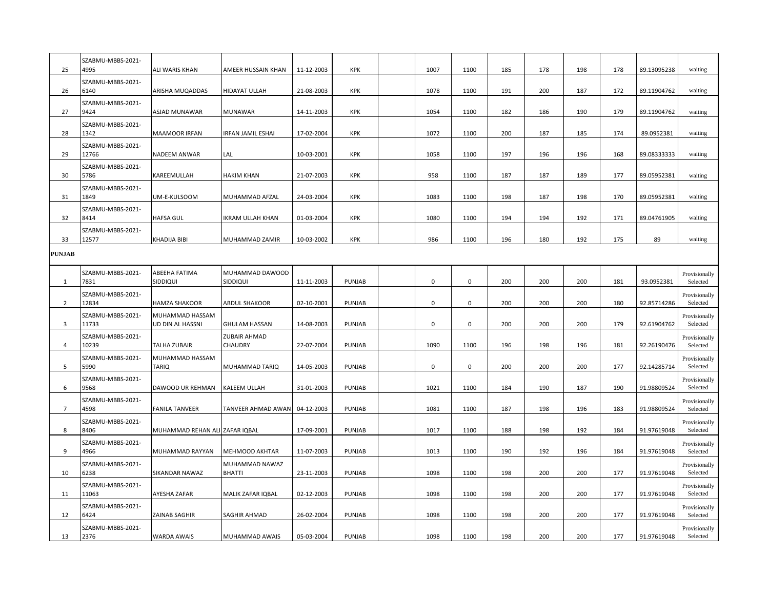| 25             | SZABMU-MBBS-2021-<br>4995  | ALI WARIS KHAN                      | AMEER HUSSAIN KHAN              | 11-12-2003 | KPK        | 1007 | 1100 | 185 | 178 | 198 | 178 | 89.13095238 | waiting                   |
|----------------|----------------------------|-------------------------------------|---------------------------------|------------|------------|------|------|-----|-----|-----|-----|-------------|---------------------------|
| 26             | SZABMU-MBBS-2021-<br>6140  | ARISHA MUQADDAS                     | HIDAYAT ULLAH                   | 21-08-2003 | <b>KPK</b> | 1078 | 1100 | 191 | 200 | 187 | 172 | 89.11904762 | waiting                   |
| 27             | SZABMU-MBBS-2021-<br>9424  | ASJAD MUNAWAR                       | <b>MUNAWAR</b>                  | 14-11-2003 | KPK        | 1054 | 1100 | 182 | 186 | 190 | 179 | 89.11904762 | waiting                   |
| 28             | SZABMU-MBBS-2021-<br>1342  | MAAMOOR IRFAN                       | <b>IRFAN JAMIL ESHAI</b>        | 17-02-2004 | <b>KPK</b> | 1072 | 1100 | 200 | 187 | 185 | 174 | 89.0952381  | waiting                   |
| 29             | SZABMU-MBBS-2021-<br>12766 | NADEEM ANWAR                        | LAL                             | 10-03-2001 | <b>KPK</b> | 1058 | 1100 | 197 | 196 | 196 | 168 | 89.08333333 | waiting                   |
| 30             | SZABMU-MBBS-2021-<br>5786  | KAREEMULLAH                         | <b>HAKIM KHAN</b>               | 21-07-2003 | <b>KPK</b> | 958  | 1100 | 187 | 187 | 189 | 177 | 89.05952381 | waiting                   |
| 31             | SZABMU-MBBS-2021-<br>1849  | UM-E-KULSOOM                        | MUHAMMAD AFZAL                  | 24-03-2004 | KPK        | 1083 | 1100 | 198 | 187 | 198 | 170 | 89.05952381 | waiting                   |
| 32             | SZABMU-MBBS-2021-<br>8414  | <b>HAFSA GUL</b>                    | IKRAM ULLAH KHAN                | 01-03-2004 | <b>KPK</b> | 1080 | 1100 | 194 | 194 | 192 | 171 | 89.04761905 | waiting                   |
| 33             | SZABMU-MBBS-2021-<br>12577 | KHADIJA BIBI                        | MUHAMMAD ZAMIR                  | 10-03-2002 | <b>KPK</b> | 986  | 1100 | 196 | 180 | 192 | 175 | 89          | waiting                   |
| <b>PUNJAB</b>  |                            |                                     |                                 |            |            |      |      |     |     |     |     |             |                           |
| 1              | SZABMU-MBBS-2021-<br>7831  | ABEEHA FATIMA<br>SIDDIQUI           | MUHAMMAD DAWOOD<br>SIDDIQUI     | 11-11-2003 | PUNJAB     | 0    | 0    | 200 | 200 | 200 | 181 | 93.0952381  | Provisionally<br>Selected |
| $\overline{2}$ | SZABMU-MBBS-2021-<br>12834 | <b>HAMZA SHAKOOR</b>                | <b>ABDUL SHAKOOR</b>            | 02-10-2001 | PUNJAB     | 0    | 0    | 200 | 200 | 200 | 180 | 92.85714286 | Provisionally<br>Selected |
| 3              | SZABMU-MBBS-2021-<br>11733 | MUHAMMAD HASSAM<br>UD DIN AL HASSNI | <b>GHULAM HASSAN</b>            | 14-08-2003 | PUNJAB     | 0    | 0    | 200 | 200 | 200 | 179 | 92.61904762 | Provisionally<br>Selected |
| 4              | SZABMU-MBBS-2021-<br>10239 | <b>TALHA ZUBAIR</b>                 | <b>ZUBAIR AHMAD</b><br>CHAUDRY  | 22-07-2004 | PUNJAB     | 1090 | 1100 | 196 | 198 | 196 | 181 | 92.26190476 | Provisionally<br>Selected |
| 5              | SZABMU-MBBS-2021-<br>5990  | MUHAMMAD HASSAM<br>TARIQ            | MUHAMMAD TARIQ                  | 14-05-2003 | PUNJAB     | 0    | 0    | 200 | 200 | 200 | 177 | 92.14285714 | Provisionally<br>Selected |
| 6              | SZABMU-MBBS-2021-<br>9568  | DAWOOD UR REHMAN                    | KALEEM ULLAH                    | 31-01-2003 | PUNJAB     | 1021 | 1100 | 184 | 190 | 187 | 190 | 91.98809524 | Provisionally<br>Selected |
| $\overline{7}$ | SZABMU-MBBS-2021-<br>4598  | <b>FANILA TANVEER</b>               | TANVEER AHMAD AWAN              | 04-12-2003 | PUNJAB     | 1081 | 1100 | 187 | 198 | 196 | 183 | 91.98809524 | Provisionally<br>Selected |
| 8              | SZABMU-MBBS-2021-<br>8406  | MUHAMMAD REHAN ALI ZAFAR IQBAL      |                                 | 17-09-2001 | PUNJAB     | 1017 | 1100 | 188 | 198 | 192 | 184 | 91.97619048 | Provisionally<br>Selected |
| 9              | SZABMU-MBBS-2021-<br>4966  | MUHAMMAD RAYYAN                     | MEHMOOD AKHTAR                  | 11-07-2003 | PUNJAB     | 1013 | 1100 | 190 | 192 | 196 | 184 | 91.97619048 | Provisionally<br>Selected |
| 10             | SZABMU-MBBS-2021-<br>6238  | SIKANDAR NAWAZ                      | MUHAMMAD NAWAZ<br><b>BHATTI</b> | 23-11-2003 | PUNJAB     | 1098 | 1100 | 198 | 200 | 200 | 177 | 91.97619048 | Provisionally<br>Selected |
| 11             | SZABMU-MBBS-2021-<br>11063 | AYESHA ZAFAR                        | MALIK ZAFAR IQBAL               | 02-12-2003 | PUNJAB     | 1098 | 1100 | 198 | 200 | 200 | 177 | 91.97619048 | Provisionally<br>Selected |
| 12             | SZABMU-MBBS-2021-<br>6424  | ZAINAB SAGHIR                       | SAGHIR AHMAD                    | 26-02-2004 | PUNJAB     | 1098 | 1100 | 198 | 200 | 200 | 177 | 91.97619048 | Provisionally<br>Selected |
| 13             | SZABMU-MBBS-2021-<br>2376  | <b>WARDA AWAIS</b>                  | MUHAMMAD AWAIS                  | 05-03-2004 | PUNJAB     | 1098 | 1100 | 198 | 200 | 200 | 177 | 91.97619048 | Provisionally<br>Selected |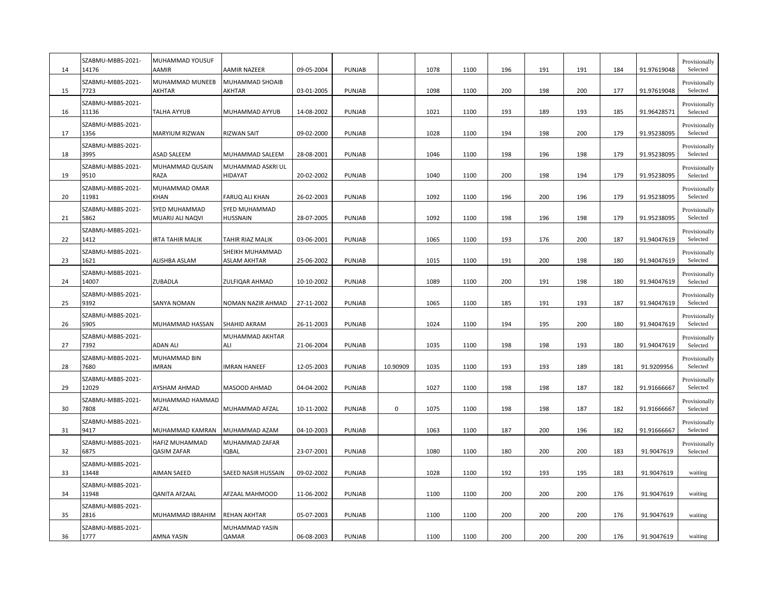| 14 | SZABMU-MBBS-2021-<br>14176 | MUHAMMAD YOUSUF<br>AAMIR             | <b>AAMIR NAZEER</b>                     | 09-05-2004 | PUNJAB        |             | 1078 | 1100 | 196 | 191 | 191 | 184 | 91.97619048 | Provisionally<br>Selected |
|----|----------------------------|--------------------------------------|-----------------------------------------|------------|---------------|-------------|------|------|-----|-----|-----|-----|-------------|---------------------------|
| 15 | SZABMU-MBBS-2021-<br>7723  | <b>MUHAMMAD MUNEEB</b><br>AKHTAR     | <b>MUHAMMAD SHOAIB</b><br><b>AKHTAR</b> | 03-01-2005 | PUNJAB        |             | 1098 | 1100 | 200 | 198 | 200 | 177 | 91.97619048 | Provisionally<br>Selected |
| 16 | SZABMU-MBBS-2021-<br>11136 | TALHA AYYUB                          | MUHAMMAD AYYUB                          | 14-08-2002 | PUNJAB        |             | 1021 | 1100 | 193 | 189 | 193 | 185 | 91.96428571 | Provisionally<br>Selected |
| 17 | SZABMU-MBBS-2021-<br>1356  | MARYIUM RIZWAN                       | <b>RIZWAN SAIT</b>                      | 09-02-2000 | PUNJAB        |             | 1028 | 1100 | 194 | 198 | 200 | 179 | 91.95238095 | Provisionally<br>Selected |
| 18 | SZABMU-MBBS-2021-<br>3995  | <b>ASAD SALEEM</b>                   | MUHAMMAD SALEEM                         | 28-08-2001 | PUNJAB        |             | 1046 | 1100 | 198 | 196 | 198 | 179 | 91.95238095 | Provisionally<br>Selected |
| 19 | SZABMU-MBBS-2021-<br>9510  | MUHAMMAD QUSAIN<br>RAZA              | MUHAMMAD ASKRI UL<br><b>HIDAYAT</b>     | 20-02-2002 | PUNJAB        |             | 1040 | 1100 | 200 | 198 | 194 | 179 | 91.95238095 | Provisionally<br>Selected |
| 20 | SZABMU-MBBS-2021-<br>11981 | MUHAMMAD OMAR<br>KHAN                | <b>FARUQ ALI KHAN</b>                   | 26-02-2003 | PUNJAB        |             | 1092 | 1100 | 196 | 200 | 196 | 179 | 91.95238095 | Provisionally<br>Selected |
| 21 | SZABMU-MBBS-2021-<br>5862  | SYED MUHAMMAD<br>MUARIJ ALI NAQVI    | SYED MUHAMMAD<br><b>HUSSNAIN</b>        | 28-07-2005 | PUNJAB        |             | 1092 | 1100 | 198 | 196 | 198 | 179 | 91.95238095 | Provisionally<br>Selected |
| 22 | SZABMU-MBBS-2021-<br>1412  | <b>IRTA TAHIR MALIK</b>              | TAHIR RIAZ MALIK                        | 03-06-2001 | PUNJAB        |             | 1065 | 1100 | 193 | 176 | 200 | 187 | 91.94047619 | Provisionally<br>Selected |
| 23 | SZABMU-MBBS-2021-<br>1621  | ALISHBA ASLAM                        | SHEIKH MUHAMMAD<br><b>ASLAM AKHTAR</b>  | 25-06-2002 | <b>PUNJAB</b> |             | 1015 | 1100 | 191 | 200 | 198 | 180 | 91.94047619 | Provisionally<br>Selected |
| 24 | SZABMU-MBBS-2021-<br>14007 | ZUBADLA                              | ZULFIQAR AHMAD                          | 10-10-2002 | PUNJAB        |             | 1089 | 1100 | 200 | 191 | 198 | 180 | 91.94047619 | Provisionally<br>Selected |
| 25 | SZABMU-MBBS-2021-<br>9392  | <b>SANYA NOMAN</b>                   | NOMAN NAZIR AHMAD                       | 27-11-2002 | PUNJAB        |             | 1065 | 1100 | 185 | 191 | 193 | 187 | 91.94047619 | Provisionally<br>Selected |
| 26 | SZABMU-MBBS-2021-<br>5905  | MUHAMMAD HASSAN                      | SHAHID AKRAM                            | 26-11-2003 | <b>PUNJAB</b> |             | 1024 | 1100 | 194 | 195 | 200 | 180 | 91.94047619 | Provisionally<br>Selected |
| 27 | SZABMU-MBBS-2021-<br>7392  | <b>ADAN ALI</b>                      | MUHAMMAD AKHTAR<br>ALI                  | 21-06-2004 | PUNJAB        |             | 1035 | 1100 | 198 | 198 | 193 | 180 | 91.94047619 | Provisionally<br>Selected |
| 28 | SZABMU-MBBS-2021-<br>7680  | MUHAMMAD BIN<br><b>IMRAN</b>         | <b>IMRAN HANEEF</b>                     | 12-05-2003 | PUNJAB        | 10.90909    | 1035 | 1100 | 193 | 193 | 189 | 181 | 91.9209956  | Provisionally<br>Selected |
| 29 | SZABMU-MBBS-2021-<br>12029 | <b>AYSHAM AHMAD</b>                  | <b>MASOOD AHMAD</b>                     | 04-04-2002 | PUNJAB        |             | 1027 | 1100 | 198 | 198 | 187 | 182 | 91.91666667 | Provisionally<br>Selected |
| 30 | SZABMU-MBBS-2021-<br>7808  | MUHAMMAD HAMMAD<br>AFZAL             | MUHAMMAD AFZAL                          | 10-11-2002 | PUNJAB        | $\mathbf 0$ | 1075 | 1100 | 198 | 198 | 187 | 182 | 91.91666667 | Provisionally<br>Selected |
| 31 | SZABMU-MBBS-2021-<br>9417  | MUHAMMAD KAMRAN                      | MUHAMMAD AZAM                           | 04-10-2003 | PUNJAB        |             | 1063 | 1100 | 187 | 200 | 196 | 182 | 91.91666667 | Provisionally<br>Selected |
| 32 | SZABMU-MBBS-2021-<br>6875  | HAFIZ MUHAMMAD<br><b>QASIM ZAFAR</b> | MUHAMMAD ZAFAR<br><b>IQBAL</b>          | 23-07-2001 | PUNJAB        |             | 1080 | 1100 | 180 | 200 | 200 | 183 | 91.9047619  | Provisionally<br>Selected |
| 33 | SZABMU-MBBS-2021-<br>13448 | <b>AIMAN SAEED</b>                   | SAEED NASIR HUSSAIN                     | 09-02-2002 | PUNJAB        |             | 1028 | 1100 | 192 | 193 | 195 | 183 | 91.9047619  | waiting                   |
| 34 | SZABMU-MBBS-2021-<br>11948 | <b>QANITA AFZAAL</b>                 | AFZAAL MAHMOOD                          | 11-06-2002 | <b>PUNJAB</b> |             | 1100 | 1100 | 200 | 200 | 200 | 176 | 91.9047619  | waiting                   |
| 35 | SZABMU-MBBS-2021-<br>2816  | MUHAMMAD IBRAHIM                     | <b>REHAN AKHTAR</b>                     | 05-07-2003 | PUNJAB        |             | 1100 | 1100 | 200 | 200 | 200 | 176 | 91.9047619  | waiting                   |
| 36 | SZABMU-MBBS-2021-<br>1777  | AMNA YASIN                           | MUHAMMAD YASIN<br>QAMAR                 | 06-08-2003 | PUNJAB        |             | 1100 | 1100 | 200 | 200 | 200 | 176 | 91.9047619  | waiting                   |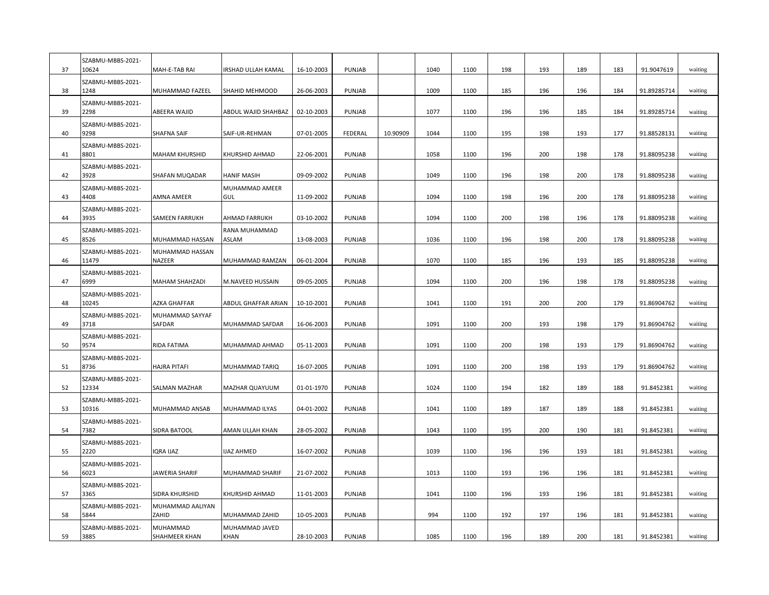| 37 | SZABMU-MBBS-2021-<br>10624 | MAH-E-TAB RAI             | IRSHAD ULLAH KAMAL     | 16-10-2003 | PUNJAB        |          | 1040 | 1100 | 198 | 193 | 189 | 183 | 91.9047619  | waiting |
|----|----------------------------|---------------------------|------------------------|------------|---------------|----------|------|------|-----|-----|-----|-----|-------------|---------|
| 38 | SZABMU-MBBS-2021-<br>1248  | MUHAMMAD FAZEEL           | SHAHID MEHMOOD         | 26-06-2003 | PUNJAB        |          | 1009 | 1100 | 185 | 196 | 196 | 184 | 91.89285714 | waiting |
| 39 | SZABMU-MBBS-2021-<br>2298  | ABEERA WAJID              | ABDUL WAJID SHAHBAZ    | 02-10-2003 | PUNJAB        |          | 1077 | 1100 | 196 | 196 | 185 | 184 | 91.89285714 | waiting |
| 40 | SZABMU-MBBS-2021-<br>9298  | <b>SHAFNA SAIF</b>        | SAIF-UR-REHMAN         | 07-01-2005 | FEDERAL       | 10.90909 | 1044 | 1100 | 195 | 198 | 193 | 177 | 91.88528131 | waiting |
| 41 | SZABMU-MBBS-2021-<br>8801  | <b>MAHAM KHURSHID</b>     | KHURSHID AHMAD         | 22-06-2001 | PUNJAB        |          | 1058 | 1100 | 196 | 200 | 198 | 178 | 91.88095238 | waiting |
| 42 | SZABMU-MBBS-2021-<br>3928  | SHAFAN MUQADAR            | <b>HANIF MASIH</b>     | 09-09-2002 | <b>PUNJAB</b> |          | 1049 | 1100 | 196 | 198 | 200 | 178 | 91.88095238 | waiting |
| 43 | SZABMU-MBBS-2021-<br>4408  | AMNA AMEER                | MUHAMMAD AMEER<br>GUL  | 11-09-2002 | PUNJAB        |          | 1094 | 1100 | 198 | 196 | 200 | 178 | 91.88095238 | waiting |
| 44 | SZABMU-MBBS-2021-<br>3935  | <b>SAMEEN FARRUKH</b>     | AHMAD FARRUKH          | 03-10-2002 | PUNJAB        |          | 1094 | 1100 | 200 | 198 | 196 | 178 | 91.88095238 | waiting |
| 45 | SZABMU-MBBS-2021-<br>8526  | MUHAMMAD HASSAN           | RANA MUHAMMAD<br>ASLAM | 13-08-2003 | PUNJAB        |          | 1036 | 1100 | 196 | 198 | 200 | 178 | 91.88095238 | waiting |
| 46 | SZABMU-MBBS-2021-<br>11479 | MUHAMMAD HASSAN<br>NAZEER | MUHAMMAD RAMZAN        | 06-01-2004 | PUNJAB        |          | 1070 | 1100 | 185 | 196 | 193 | 185 | 91.88095238 | waiting |
| 47 | SZABMU-MBBS-2021-<br>6999  | MAHAM SHAHZADI            | M.NAVEED HUSSAIN       | 09-05-2005 | PUNJAB        |          | 1094 | 1100 | 200 | 196 | 198 | 178 | 91.88095238 | waiting |
| 48 | SZABMU-MBBS-2021-<br>10245 | AZKA GHAFFAR              | ABDUL GHAFFAR ARIAN    | 10-10-2001 | PUNJAB        |          | 1041 | 1100 | 191 | 200 | 200 | 179 | 91.86904762 | waiting |
| 49 | SZABMU-MBBS-2021-<br>3718  | MUHAMMAD SAYYAF<br>SAFDAR | MUHAMMAD SAFDAR        | 16-06-2003 | PUNJAB        |          | 1091 | 1100 | 200 | 193 | 198 | 179 | 91.86904762 | waiting |
| 50 | SZABMU-MBBS-2021-<br>9574  | RIDA FATIMA               | MUHAMMAD AHMAD         | 05-11-2003 | PUNJAB        |          | 1091 | 1100 | 200 | 198 | 193 | 179 | 91.86904762 | waiting |
| 51 | SZABMU-MBBS-2021-<br>8736  | <b>HAJRA PITAFI</b>       | MUHAMMAD TARIQ         | 16-07-2005 | PUNJAB        |          | 1091 | 1100 | 200 | 198 | 193 | 179 | 91.86904762 | waiting |
| 52 | SZABMU-MBBS-2021-<br>12334 | SALMAN MAZHAR             | MAZHAR QUAYUUM         | 01-01-1970 | PUNJAB        |          | 1024 | 1100 | 194 | 182 | 189 | 188 | 91.8452381  | waiting |
| 53 | SZABMU-MBBS-2021-<br>10316 | MUHAMMAD ANSAB            | MUHAMMAD ILYAS         | 04-01-2002 | <b>PUNJAB</b> |          | 1041 | 1100 | 189 | 187 | 189 | 188 | 91.8452381  | waiting |
| 54 | SZABMU-MBBS-2021-<br>7382  | SIDRA BATOOL              | AMAN ULLAH KHAN        | 28-05-2002 | PUNJAB        |          | 1043 | 1100 | 195 | 200 | 190 | 181 | 91.8452381  | waiting |
| 55 | SZABMU-MBBS-2021-<br>2220  | IQRA IJAZ                 | <b>IJAZ AHMED</b>      | 16-07-2002 | PUNJAB        |          | 1039 | 1100 | 196 | 196 | 193 | 181 | 91.8452381  | waiting |
| 56 | SZABMU-MBBS-2021-<br>6023  | <b>JAWERIA SHARIF</b>     | MUHAMMAD SHARIF        | 21-07-2002 | PUNJAB        |          | 1013 | 1100 | 193 | 196 | 196 | 181 | 91.8452381  | waiting |
| 57 | SZABMU-MBBS-2021-<br>3365  | SIDRA KHURSHID            | KHURSHID AHMAD         | 11-01-2003 | PUNJAB        |          | 1041 | 1100 | 196 | 193 | 196 | 181 | 91.8452381  | waiting |
| 58 | SZABMU-MBBS-2021-<br>5844  | MUHAMMAD AALIYAN<br>ZAHID | MUHAMMAD ZAHID         | 10-05-2003 | PUNJAB        |          | 994  | 1100 | 192 | 197 | 196 | 181 | 91.8452381  | waiting |
| 59 | SZABMU-MBBS-2021-<br>3885  | MUHAMMAD<br>SHAHMEER KHAN | MUHAMMAD JAVED<br>KHAN | 28-10-2003 | PUNJAB        |          | 1085 | 1100 | 196 | 189 | 200 | 181 | 91.8452381  | waiting |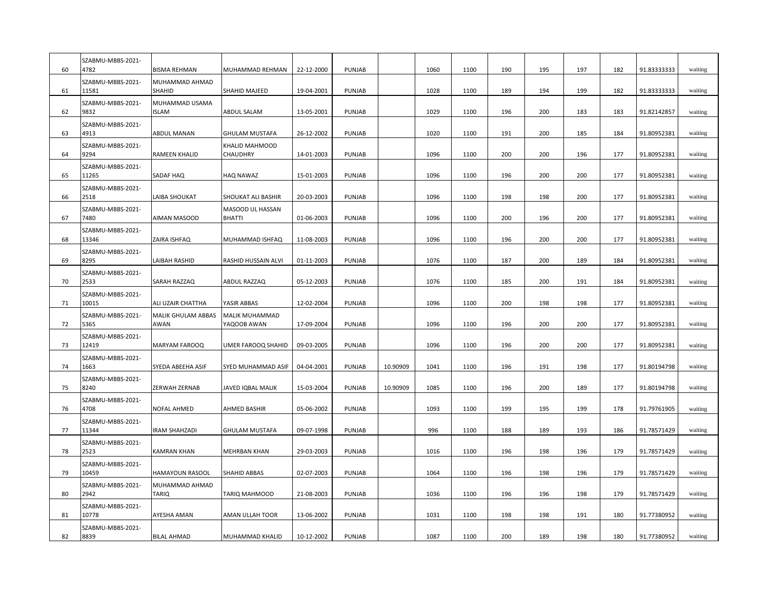| 60 | SZABMU-MBBS-2021-<br>4782  | <b>BISMA REHMAN</b>            | MUHAMMAD REHMAN                      | 22-12-2000               | <b>PUNJAB</b> |          | 1060 | 1100 | 190 | 195 | 197 | 182 | 91.83333333 | waiting            |
|----|----------------------------|--------------------------------|--------------------------------------|--------------------------|---------------|----------|------|------|-----|-----|-----|-----|-------------|--------------------|
| 61 | SZABMU-MBBS-2021-<br>11581 | MUHAMMAD AHMAD<br>SHAHID       | <b>SHAHID MAJEED</b>                 | 19-04-2001               | PUNJAB        |          | 1028 | 1100 | 189 | 194 | 199 | 182 | 91.83333333 | waiting            |
| 62 | SZABMU-MBBS-2021-<br>9832  | MUHAMMAD USAMA<br><b>ISLAM</b> | ABDUL SALAM                          | 13-05-2001               | PUNJAB        |          | 1029 | 1100 | 196 | 200 | 183 | 183 | 91.82142857 | waiting            |
| 63 | SZABMU-MBBS-2021-<br>4913  | ABDUL MANAN                    | GHULAM MUSTAFA                       | 26-12-2002               | PUNJAB        |          | 1020 | 1100 | 191 | 200 | 185 | 184 | 91.80952381 | waiting            |
| 64 | SZABMU-MBBS-2021-<br>9294  | <b>RAMEEN KHALID</b>           | KHALID MAHMOOD<br>CHAUDHRY           | 14-01-2003               | PUNJAB        |          | 1096 | 1100 | 200 | 200 | 196 | 177 | 91.80952381 | waiting            |
| 65 | SZABMU-MBBS-2021-<br>11265 | SADAF HAQ                      | HAQ NAWAZ                            | 15-01-2003               | PUNJAB        |          | 1096 | 1100 | 196 | 200 | 200 | 177 | 91.80952381 | waiting            |
| 66 | SZABMU-MBBS-2021-<br>2518  | LAIBA SHOUKAT                  | SHOUKAT ALI BASHIR                   | 20-03-2003               | PUNJAB        |          | 1096 | 1100 | 198 | 198 | 200 | 177 | 91.80952381 | waiting            |
| 67 | SZABMU-MBBS-2021-<br>7480  | AIMAN MASOOD                   | MASOOD UL HASSAN<br><b>BHATTI</b>    | 01-06-2003               | PUNJAB        |          | 1096 | 1100 | 200 | 196 | 200 | 177 | 91.80952381 | waiting            |
| 68 | SZABMU-MBBS-2021-<br>13346 | ZAIRA ISHFAQ                   | MUHAMMAD ISHFAQ                      | 11-08-2003               | PUNJAB        |          | 1096 | 1100 | 196 | 200 | 200 | 177 | 91.80952381 | waiting            |
| 69 | SZABMU-MBBS-2021-<br>8295  | LAIBAH RASHID                  | RASHID HUSSAIN ALVI                  | 01-11-2003               | PUNJAB        |          | 1076 | 1100 | 187 | 200 | 189 | 184 | 91.80952381 | waiting            |
| 70 | SZABMU-MBBS-2021-<br>2533  | SARAH RAZZAQ                   | ABDUL RAZZAQ                         | 05-12-2003               | PUNJAB        |          | 1076 | 1100 | 185 | 200 | 191 | 184 | 91.80952381 | waiting            |
| 71 | SZABMU-MBBS-2021-<br>10015 | ALI UZAIR CHATTHA              | YASIR ABBAS                          | 12-02-2004               | PUNJAB        |          | 1096 | 1100 | 200 | 198 | 198 | 177 | 91.80952381 | waiting            |
| 72 | SZABMU-MBBS-2021-<br>5365  | MALIK GHULAM ABBAS<br>AWAN     | <b>MALIK MUHAMMAD</b><br>YAQOOB AWAN | 17-09-2004               | PUNJAB        |          | 1096 | 1100 | 196 | 200 | 200 | 177 | 91.80952381 | waiting            |
| 73 | SZABMU-MBBS-2021-<br>12419 | MARYAM FAROOQ                  | UMER FAROOQ SHAHID                   | 09-03-2005               | PUNJAB        |          | 1096 | 1100 | 196 | 200 | 200 | 177 | 91.80952381 | waiting            |
| 74 | SZABMU-MBBS-2021-<br>1663  | SYEDA ABEEHA ASIF              | SYED MUHAMMAD ASIF                   | 04-04-2001               | PUNJAB        | 10.90909 | 1041 | 1100 | 196 | 191 | 198 | 177 | 91.80194798 | waiting            |
| 75 | SZABMU-MBBS-2021-<br>8240  | ZERWAH ZERNAB                  | JAVED IQBAL MALIK                    | 15-03-2004               | PUNJAB        | 10.90909 | 1085 | 1100 | 196 | 200 | 189 | 177 | 91.80194798 | waiting            |
| 76 | SZABMU-MBBS-2021-<br>4708  | NOFAL AHMED                    | AHMED BASHIR                         | 05-06-2002               | PUNJAB        |          | 1093 | 1100 | 199 | 195 | 199 | 178 | 91.79761905 | waiting            |
| 77 | SZABMU-MBBS-2021-<br>11344 | <b>IRAM SHAHZADI</b>           | <b>GHULAM MUSTAFA</b>                | 09-07-1998               | <b>PUNJAB</b> |          | 996  | 1100 | 188 | 189 | 193 | 186 | 91.78571429 | waiting            |
| 78 | SZABMU-MBBS-2021-<br>2523  | <b>KAMRAN KHAN</b>             | MEHRBAN KHAN                         | 29-03-2003               | PUNJAB        |          | 1016 | 1100 | 196 | 198 | 196 | 179 | 91.78571429 | waiting            |
| 79 | SZABMU-MBBS-2021-<br>10459 | <b>HAMAYOUN RASOOL</b>         | SHAHID ABBAS                         | 02-07-2003               | PUNJAB        |          | 1064 | 1100 | 196 | 198 | 196 | 179 | 91.78571429 | waiting            |
| 80 | SZABMU-MBBS-2021-<br>2942  | MUHAMMAD AHMAD<br>TARIQ        | TARIQ MAHMOOD                        | 21-08-2003               | PUNJAB        |          | 1036 | 1100 | 196 | 196 | 198 | 179 | 91.78571429 | waiting            |
| 81 | SZABMU-MBBS-2021-<br>10778 | AYESHA AMAN                    | AMAN ULLAH TOOR                      |                          | PUNJAB        |          | 1031 | 1100 | 198 | 198 | 191 | 180 | 91.77380952 |                    |
| 82 | SZABMU-MBBS-2021-<br>8839  | <b>BILAL AHMAD</b>             | MUHAMMAD KHALID                      | 13-06-2002<br>10-12-2002 | PUNJAB        |          | 1087 | 1100 | 200 | 189 | 198 | 180 | 91.77380952 | waiting<br>waiting |
|    |                            |                                |                                      |                          |               |          |      |      |     |     |     |     |             |                    |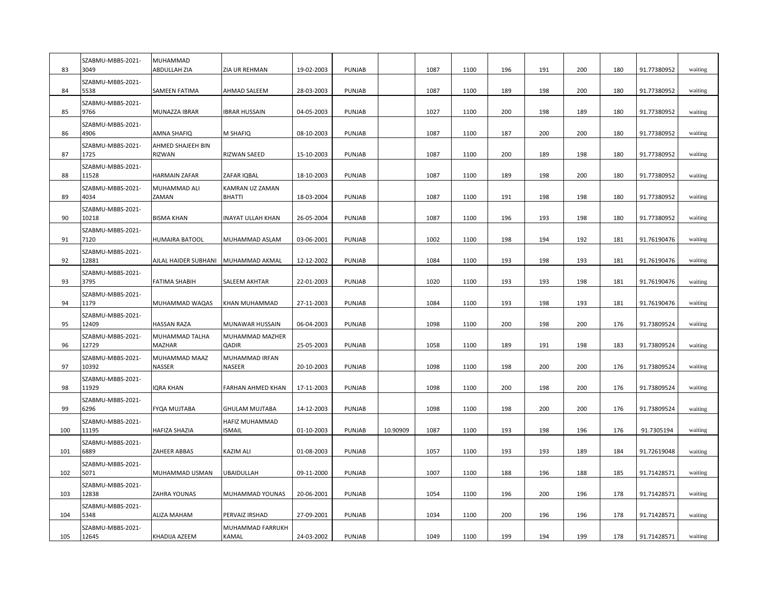| 83  | SZABMU-MBBS-2021-<br>3049  | MUHAMMAD<br>ABDULLAH ZIA    | ZIA UR REHMAN                    | 19-02-2003 | PUNJAB        |          | 1087 | 1100 | 196 | 191 | 200 | 180 | 91.77380952 | waiting |
|-----|----------------------------|-----------------------------|----------------------------------|------------|---------------|----------|------|------|-----|-----|-----|-----|-------------|---------|
| 84  | SZABMU-MBBS-2021-<br>5538  | SAMEEN FATIMA               | <b>AHMAD SALEEM</b>              | 28-03-2003 | PUNJAB        |          | 1087 | 1100 | 189 | 198 | 200 | 180 | 91.77380952 | waiting |
| 85  | SZABMU-MBBS-2021-<br>9766  | MUNAZZA IBRAR               | <b>IBRAR HUSSAIN</b>             | 04-05-2003 | PUNJAB        |          | 1027 | 1100 | 200 | 198 | 189 | 180 | 91.77380952 | waiting |
| 86  | SZABMU-MBBS-2021-<br>4906  | AMNA SHAFIQ                 | <b>M SHAFIQ</b>                  | 08-10-2003 | PUNJAB        |          | 1087 | 1100 | 187 | 200 | 200 | 180 | 91.77380952 | waiting |
| 87  | SZABMU-MBBS-2021-<br>1725  | AHMED SHAJEEH BIN<br>RIZWAN | <b>RIZWAN SAEED</b>              | 15-10-2003 | PUNJAB        |          | 1087 | 1100 | 200 | 189 | 198 | 180 | 91.77380952 | waiting |
| 88  | SZABMU-MBBS-2021-<br>11528 | <b>HARMAIN ZAFAR</b>        | ZAFAR IQBAL                      | 18-10-2003 | PUNJAB        |          | 1087 | 1100 | 189 | 198 | 200 | 180 | 91.77380952 | waiting |
| 89  | SZABMU-MBBS-2021-<br>4034  | MUHAMMAD ALI<br>ZAMAN       | KAMRAN UZ ZAMAN<br><b>BHATTI</b> | 18-03-2004 | PUNJAB        |          | 1087 | 1100 | 191 | 198 | 198 | 180 | 91.77380952 | waiting |
| 90  | SZABMU-MBBS-2021-<br>10218 | <b>BISMA KHAN</b>           | <b>INAYAT ULLAH KHAN</b>         | 26-05-2004 | PUNJAB        |          | 1087 | 1100 | 196 | 193 | 198 | 180 | 91.77380952 | waiting |
| 91  | SZABMU-MBBS-2021-<br>7120  | HUMAIRA BATOOL              | MUHAMMAD ASLAM                   | 03-06-2001 | PUNJAB        |          | 1002 | 1100 | 198 | 194 | 192 | 181 | 91.76190476 | waiting |
| 92  | SZABMU-MBBS-2021-<br>12881 | AJLAL HAIDER SUBHANI        | MUHAMMAD AKMAL                   | 12-12-2002 | <b>PUNJAB</b> |          | 1084 | 1100 | 193 | 198 | 193 | 181 | 91.76190476 | waiting |
| 93  | SZABMU-MBBS-2021-<br>3795  | <b>FATIMA SHABIH</b>        | <b>SALEEM AKHTAR</b>             | 22-01-2003 | PUNJAB        |          | 1020 | 1100 | 193 | 193 | 198 | 181 | 91.76190476 | waiting |
| 94  | SZABMU-MBBS-2021-<br>1179  | MUHAMMAD WAQAS              | KHAN MUHAMMAD                    | 27-11-2003 | PUNJAB        |          | 1084 | 1100 | 193 | 198 | 193 | 181 | 91.76190476 | waiting |
| 95  | SZABMU-MBBS-2021-<br>12409 | <b>HASSAN RAZA</b>          | MUNAWAR HUSSAIN                  | 06-04-2003 | PUNJAB        |          | 1098 | 1100 | 200 | 198 | 200 | 176 | 91.73809524 | waiting |
| 96  | SZABMU-MBBS-2021-<br>12729 | MUHAMMAD TALHA<br>MAZHAR    | MUHAMMAD MAZHER<br><b>QADIR</b>  | 25-05-2003 | PUNJAB        |          | 1058 | 1100 | 189 | 191 | 198 | 183 | 91.73809524 | waiting |
| 97  | SZABMU-MBBS-2021-<br>10392 | MUHAMMAD MAAZ<br>NASSER     | MUHAMMAD IRFAN<br><b>NASEER</b>  | 20-10-2003 | PUNJAB        |          | 1098 | 1100 | 198 | 200 | 200 | 176 | 91.73809524 | waiting |
| 98  | SZABMU-MBBS-2021-<br>11929 | IQRA KHAN                   | <b>FARHAN AHMED KHAN</b>         | 17-11-2003 | PUNJAB        |          | 1098 | 1100 | 200 | 198 | 200 | 176 | 91.73809524 | waiting |
| 99  | SZABMU-MBBS-2021-<br>6296  | FYQA MUJTABA                | <b>GHULAM MUJTABA</b>            | 14-12-2003 | PUNJAB        |          | 1098 | 1100 | 198 | 200 | 200 | 176 | 91.73809524 | waiting |
| 100 | SZABMU-MBBS-2021-<br>11195 | HAFIZA SHAZIA               | HAFIZ MUHAMMAD<br><b>ISMAIL</b>  | 01-10-2003 | <b>PUNJAB</b> | 10.90909 | 1087 | 1100 | 193 | 198 | 196 | 176 | 91.7305194  | waiting |
| 101 | SZABMU-MBBS-2021-<br>6889  | ZAHEER ABBAS                | <b>KAZIM ALI</b>                 | 01-08-2003 | PUNJAB        |          | 1057 | 1100 | 193 | 193 | 189 | 184 | 91.72619048 | waiting |
| 102 | SZABMU-MBBS-2021-<br>5071  | MUHAMMAD USMAN              | UBAIDULLAH                       | 09-11-2000 | PUNJAB        |          | 1007 | 1100 | 188 | 196 | 188 | 185 | 91.71428571 | waiting |
| 103 | SZABMU-MBBS-2021-<br>12838 | ZAHRA YOUNAS                | MUHAMMAD YOUNAS                  | 20-06-2001 | PUNJAB        |          | 1054 | 1100 | 196 | 200 | 196 | 178 | 91.71428571 | waiting |
| 104 | SZABMU-MBBS-2021-<br>5348  | <b>ALIZA MAHAM</b>          | PERVAIZ IRSHAD                   | 27-09-2001 | PUNJAB        |          | 1034 | 1100 | 200 | 196 | 196 | 178 | 91.71428571 | waiting |
| 105 | SZABMU-MBBS-2021-<br>12645 | KHADIJA AZEEM               | MUHAMMAD FARRUKH<br>KAMAL        | 24-03-2002 | <b>PUNJAB</b> |          | 1049 | 1100 | 199 | 194 | 199 | 178 | 91.71428571 | waiting |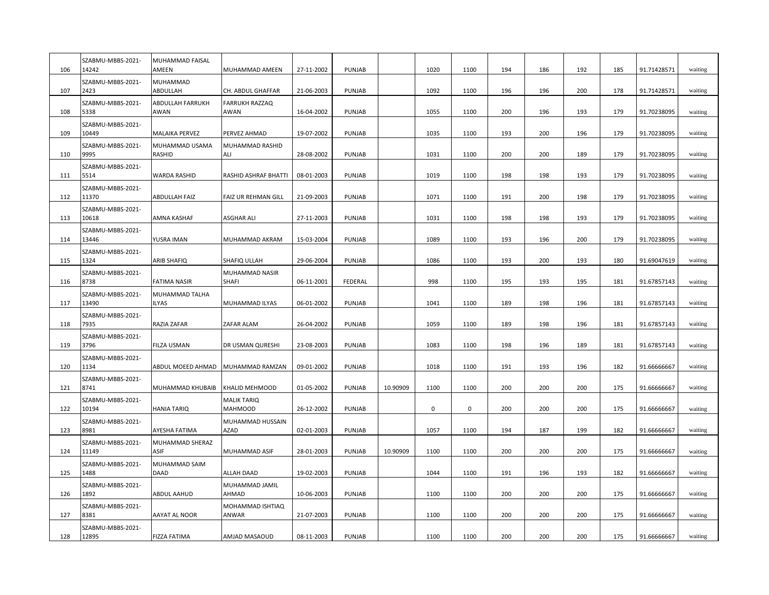| 106 | SZABMU-MBBS-2021-<br>14242 | <b>MUHAMMAD FAISAL</b><br>AMEEN | MUHAMMAD AMEEN                       | 27-11-2002 | PUNJAB        |          | 1020 | 1100        | 194 | 186 | 192 | 185 | 91.71428571 | waiting |
|-----|----------------------------|---------------------------------|--------------------------------------|------------|---------------|----------|------|-------------|-----|-----|-----|-----|-------------|---------|
| 107 | SZABMU-MBBS-2021-<br>2423  | MUHAMMAD<br>ABDULLAH            | CH. ABDUL GHAFFAR                    | 21-06-2003 | PUNJAB        |          | 1092 | 1100        | 196 | 196 | 200 | 178 | 91.71428571 | waiting |
| 108 | SZABMU-MBBS-2021-<br>5338  | ABDULLAH FARRUKH<br>AWAN        | <b>FARRUKH RAZZAQ</b><br>AWAN        | 16-04-2002 | <b>PUNJAB</b> |          | 1055 | 1100        | 200 | 196 | 193 | 179 | 91.70238095 | waiting |
| 109 | SZABMU-MBBS-2021-<br>10449 | <b>MALAIKA PERVEZ</b>           | PERVEZ AHMAD                         | 19-07-2002 | <b>PUNJAB</b> |          | 1035 | 1100        | 193 | 200 | 196 | 179 | 91.70238095 | waiting |
| 110 | SZABMU-MBBS-2021-<br>9995  | MUHAMMAD USAMA<br>RASHID        | MUHAMMAD RASHID<br>ALI               | 28-08-2002 | PUNJAB        |          | 1031 | 1100        | 200 | 200 | 189 | 179 | 91.70238095 | waiting |
| 111 | SZABMU-MBBS-2021-<br>5514  | <b>WARDA RASHID</b>             | RASHID ASHRAF BHATTI                 | 08-01-2003 | PUNJAB        |          | 1019 | 1100        | 198 | 198 | 193 | 179 | 91.70238095 | waiting |
| 112 | SZABMU-MBBS-2021-<br>11370 | ABDULLAH FAIZ                   | FAIZ UR REHMAN GILL                  | 21-09-2003 | PUNJAB        |          | 1071 | 1100        | 191 | 200 | 198 | 179 | 91.70238095 | waiting |
| 113 | SZABMU-MBBS-2021-<br>10618 | AMNA KASHAF                     | ASGHAR ALI                           | 27-11-2003 | PUNJAB        |          | 1031 | 1100        | 198 | 198 | 193 | 179 | 91.70238095 | waiting |
| 114 | SZABMU-MBBS-2021-<br>13446 | YUSRA IMAN                      | MUHAMMAD AKRAM                       | 15-03-2004 | PUNJAB        |          | 1089 | 1100        | 193 | 196 | 200 | 179 | 91.70238095 | waiting |
| 115 | SZABMU-MBBS-2021-<br>1324  | ARIB SHAFIQ                     | SHAFIQ ULLAH                         | 29-06-2004 | PUNJAB        |          | 1086 | 1100        | 193 | 200 | 193 | 180 | 91.69047619 | waiting |
| 116 | SZABMU-MBBS-2021-<br>8738  | <b>FATIMA NASIR</b>             | MUHAMMAD NASIR<br>SHAFI              | 06-11-2001 | FEDERAL       |          | 998  | 1100        | 195 | 193 | 195 | 181 | 91.67857143 | waiting |
| 117 | SZABMU-MBBS-2021-<br>13490 | MUHAMMAD TALHA<br><b>ILYAS</b>  | MUHAMMAD ILYAS                       | 06-01-2002 | PUNJAB        |          | 1041 | 1100        | 189 | 198 | 196 | 181 | 91.67857143 | waiting |
| 118 | SZABMU-MBBS-2021-<br>7935  | RAZIA ZAFAR                     | ZAFAR ALAM                           | 26-04-2002 | PUNJAB        |          | 1059 | 1100        | 189 | 198 | 196 | 181 | 91.67857143 | waiting |
| 119 | SZABMU-MBBS-2021-<br>3796  | <b>FILZA USMAN</b>              | DR USMAN QURESHI                     | 23-08-2003 | PUNJAB        |          | 1083 | 1100        | 198 | 196 | 189 | 181 | 91.67857143 | waiting |
| 120 | SZABMU-MBBS-2021-<br>1134  | ABDUL MOEED AHMAD               | MUHAMMAD RAMZAN                      | 09-01-2002 | PUNJAB        |          | 1018 | 1100        | 191 | 193 | 196 | 182 | 91.66666667 | waiting |
| 121 | SZABMU-MBBS-2021-<br>8741  | MUHAMMAD KHUBAIB                | KHALID MEHMOOD                       | 01-05-2002 | PUNJAB        | 10.90909 | 1100 | 1100        | 200 | 200 | 200 | 175 | 91.66666667 | waiting |
| 122 | SZABMU-MBBS-2021-<br>10194 | <b>HANIA TARIQ</b>              | <b>MALIK TARIQ</b><br><b>MAHMOOD</b> | 26-12-2002 | PUNJAB        |          | 0    | $\mathbf 0$ | 200 | 200 | 200 | 175 | 91.66666667 | waiting |
| 123 | SZABMU-MBBS-2021-<br>8981  | AYESHA FATIMA                   | MUHAMMAD HUSSAIN<br>AZAD             | 02-01-2003 | PUNJAB        |          | 1057 | 1100        | 194 | 187 | 199 | 182 | 91.66666667 | waiting |
| 124 | SZABMU-MBBS-2021-<br>11149 | MUHAMMAD SHERAZ<br>ASIF         | MUHAMMAD ASIF                        | 28-01-2003 | PUNJAB        | 10.90909 | 1100 | 1100        | 200 | 200 | 200 | 175 | 91.66666667 | waiting |
| 125 | SZABMU-MBBS-2021-<br>1488  | MUHAMMAD SAIM<br><b>DAAD</b>    | ALLAH DAAD                           | 19-02-2003 | PUNJAB        |          | 1044 | 1100        | 191 | 196 | 193 | 182 | 91.66666667 | waiting |
| 126 | SZABMU-MBBS-2021-<br>1892  | ABDUL AAHUD                     | MUHAMMAD JAMIL<br>AHMAD              | 10-06-2003 | PUNJAB        |          | 1100 | 1100        | 200 | 200 | 200 | 175 | 91.66666667 | waiting |
| 127 | SZABMU-MBBS-2021-<br>8381  | AAYAT AL NOOR                   | MOHAMMAD ISHTIAQ<br>ANWAR            | 21-07-2003 | PUNJAB        |          | 1100 | 1100        | 200 | 200 | 200 | 175 | 91.66666667 | waiting |
| 128 | SZABMU-MBBS-2021-<br>12895 | <b>FIZZA FATIMA</b>             | AMJAD MASAOUD                        | 08-11-2003 | PUNJAB        |          | 1100 | 1100        | 200 | 200 | 200 | 175 | 91.66666667 | waiting |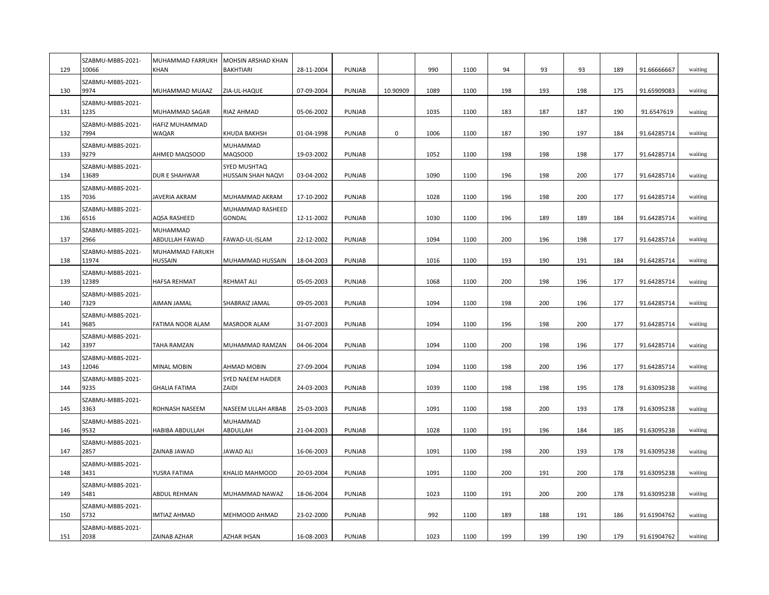| 129 | SZABMU-MBBS-2021-<br>10066 | MUHAMMAD FARRUKH<br><b>KHAN</b>   | MOHSIN ARSHAD KHAN<br><b>BAKHTIARI</b> | 28-11-2004 | PUNJAB        |          | 990  | 1100 | 94  | 93  | 93  | 189 | 91.66666667 | waiting |
|-----|----------------------------|-----------------------------------|----------------------------------------|------------|---------------|----------|------|------|-----|-----|-----|-----|-------------|---------|
| 130 | SZABMU-MBBS-2021-<br>9974  | MUHAMMAD MUAAZ                    | ZIA-UL-HAQUE                           | 07-09-2004 | PUNJAB        | 10.90909 | 1089 | 1100 | 198 | 193 | 198 | 175 | 91.65909083 | waiting |
| 131 | SZABMU-MBBS-2021-<br>1235  | MUHAMMAD SAGAR                    | RIAZ AHMAD                             | 05-06-2002 | PUNJAB        |          | 1035 | 1100 | 183 | 187 | 187 | 190 | 91.6547619  | waiting |
| 132 | SZABMU-MBBS-2021-<br>7994  | HAFIZ MUHAMMAD<br><b>WAQAR</b>    | KHUDA BAKHSH                           | 01-04-1998 | PUNJAB        | 0        | 1006 | 1100 | 187 | 190 | 197 | 184 | 91.64285714 | waiting |
| 133 | SZABMU-MBBS-2021-<br>9279  | AHMED MAQSOOD                     | MUHAMMAD<br>MAQSOOD                    | 19-03-2002 | PUNJAB        |          | 1052 | 1100 | 198 | 198 | 198 | 177 | 91.64285714 | waiting |
| 134 | SZABMU-MBBS-2021-<br>13689 | <b>DUR E SHAHWAR</b>              | SYED MUSHTAQ<br>HUSSAIN SHAH NAQVI     | 03-04-2002 | PUNJAB        |          | 1090 | 1100 | 196 | 198 | 200 | 177 | 91.64285714 | waiting |
| 135 | SZABMU-MBBS-2021-<br>7036  | JAVERIA AKRAM                     | MUHAMMAD AKRAM                         | 17-10-2002 | PUNJAB        |          | 1028 | 1100 | 196 | 198 | 200 | 177 | 91.64285714 | waiting |
| 136 | SZABMU-MBBS-2021-<br>6516  | AQSA RASHEED                      | MUHAMMAD RASHEED<br>GONDAL             | 12-11-2002 | PUNJAB        |          | 1030 | 1100 | 196 | 189 | 189 | 184 | 91.64285714 | waiting |
| 137 | SZABMU-MBBS-2021-<br>2966  | MUHAMMAD<br>ABDULLAH FAWAD        | FAWAD-UL-ISLAM                         | 22-12-2002 | PUNJAB        |          | 1094 | 1100 | 200 | 196 | 198 | 177 | 91.64285714 | waiting |
| 138 | SZABMU-MBBS-2021-<br>11974 | MUHAMMAD FARUKH<br><b>HUSSAIN</b> | MUHAMMAD HUSSAIN                       | 18-04-2003 | PUNJAB        |          | 1016 | 1100 | 193 | 190 | 191 | 184 | 91.64285714 | waiting |
| 139 | SZABMU-MBBS-2021-<br>12389 | <b>HAFSA REHMAT</b>               | <b>REHMAT ALI</b>                      | 05-05-2003 | PUNJAB        |          | 1068 | 1100 | 200 | 198 | 196 | 177 | 91.64285714 | waiting |
| 140 | SZABMU-MBBS-2021-<br>7329  | AIMAN JAMAL                       | SHABRAIZ JAMAL                         | 09-05-2003 | PUNJAB        |          | 1094 | 1100 | 198 | 200 | 196 | 177 | 91.64285714 | waiting |
| 141 | SZABMU-MBBS-2021-<br>9685  | FATIMA NOOR ALAM                  | MASROOR ALAM                           | 31-07-2003 | PUNJAB        |          | 1094 | 1100 | 196 | 198 | 200 | 177 | 91.64285714 | waiting |
| 142 | SZABMU-MBBS-2021-<br>3397  | TAHA RAMZAN                       | MUHAMMAD RAMZAN                        | 04-06-2004 | PUNJAB        |          | 1094 | 1100 | 200 | 198 | 196 | 177 | 91.64285714 | waiting |
| 143 | SZABMU-MBBS-2021-<br>12046 | <b>MINAL MOBIN</b>                | AHMAD MOBIN                            | 27-09-2004 | PUNJAB        |          | 1094 | 1100 | 198 | 200 | 196 | 177 | 91.64285714 | waiting |
| 144 | SZABMU-MBBS-2021-<br>9235  | <b>GHALIA FATIMA</b>              | SYED NAEEM HAIDER<br>ZAIDI             | 24-03-2003 | PUNJAB        |          | 1039 | 1100 | 198 | 198 | 195 | 178 | 91.63095238 | waiting |
| 145 | SZABMU-MBBS-2021-<br>3363  | ROHNASH NASEEM                    | NASEEM ULLAH ARBAB                     | 25-03-2003 | PUNJAB        |          | 1091 | 1100 | 198 | 200 | 193 | 178 | 91.63095238 | waiting |
| 146 | SZABMU-MBBS-2021-<br>9532  | HABIBA ABDULLAH                   | MUHAMMAD<br>ABDULLAH                   | 21-04-2003 | PUNJAB        |          | 1028 | 1100 | 191 | 196 | 184 | 185 | 91.63095238 | waiting |
| 147 | SZABMU-MBBS-2021-<br>2857  | ZAINAB JAWAD                      | JAWAD ALI                              | 16-06-2003 | PUNJAB        |          | 1091 | 1100 | 198 | 200 | 193 | 178 | 91.63095238 | waiting |
| 148 | SZABMU-MBBS-2021-<br>3431  | YUSRA FATIMA                      | KHALID MAHMOOD                         | 20-03-2004 | PUNJAB        |          | 1091 | 1100 | 200 | 191 | 200 | 178 | 91.63095238 | waiting |
|     | SZABMU-MBBS-2021-          |                                   |                                        |            |               |          |      |      |     |     |     |     |             |         |
| 149 | 5481<br>SZABMU-MBBS-2021-  | ABDUL REHMAN                      | MUHAMMAD NAWAZ                         | 18-06-2004 | PUNJAB        |          | 1023 | 1100 | 191 | 200 | 200 | 178 | 91.63095238 | waiting |
| 150 | 5732<br>SZABMU-MBBS-2021-  | <b>IMTIAZ AHMAD</b>               | MEHMOOD AHMAD                          | 23-02-2000 | PUNJAB        |          | 992  | 1100 | 189 | 188 | 191 | 186 | 91.61904762 | waiting |
| 151 | 2038                       | ZAINAB AZHAR                      | AZHAR IHSAN                            | 16-08-2003 | <b>PUNJAB</b> |          | 1023 | 1100 | 199 | 199 | 190 | 179 | 91.61904762 | waiting |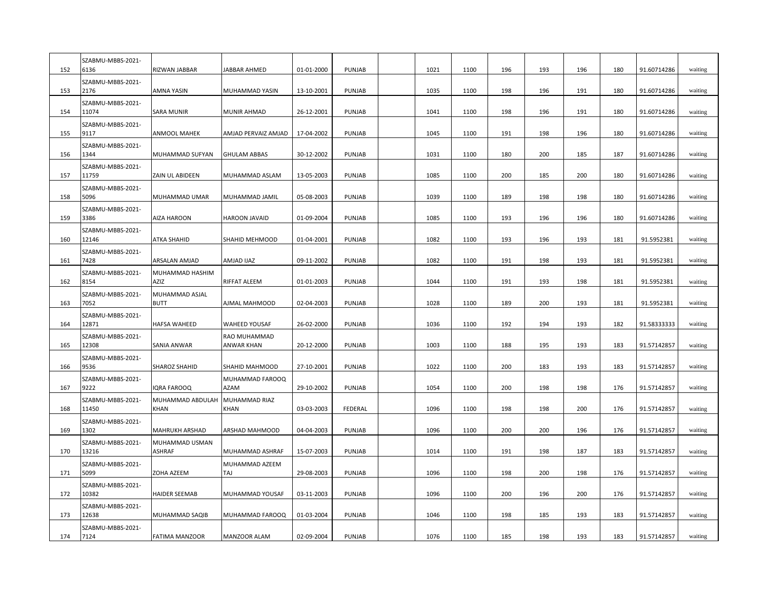| 152 | SZABMU-MBBS-2021-<br>6136  | RIZWAN JABBAR                 | JABBAR AHMED               | 01-01-2000 | PUNJAB         | 1021 | 1100 | 196 | 193 | 196 | 180 | 91.60714286 | waiting |
|-----|----------------------------|-------------------------------|----------------------------|------------|----------------|------|------|-----|-----|-----|-----|-------------|---------|
| 153 | SZABMU-MBBS-2021-<br>2176  | AMNA YASIN                    | MUHAMMAD YASIN             | 13-10-2001 | PUNJAB         | 1035 | 1100 | 198 | 196 | 191 | 180 | 91.60714286 | waiting |
| 154 | SZABMU-MBBS-2021-<br>11074 | SARA MUNIR                    | MUNIR AHMAD                | 26-12-2001 | PUNJAB         | 1041 | 1100 | 198 | 196 | 191 | 180 | 91.60714286 | waiting |
| 155 | SZABMU-MBBS-2021-<br>9117  | ANMOOL MAHEK                  | AMJAD PERVAIZ AMJAD        | 17-04-2002 | PUNJAB         | 1045 | 1100 | 191 | 198 | 196 | 180 | 91.60714286 | waiting |
| 156 | SZABMU-MBBS-2021-<br>1344  | MUHAMMAD SUFYAN               | <b>GHULAM ABBAS</b>        | 30-12-2002 | PUNJAB         | 1031 | 1100 | 180 | 200 | 185 | 187 | 91.60714286 | waiting |
| 157 | SZABMU-MBBS-2021-<br>11759 | ZAIN UL ABIDEEN               | MUHAMMAD ASLAM             | 13-05-2003 | PUNJAB         | 1085 | 1100 | 200 | 185 | 200 | 180 | 91.60714286 | waiting |
| 158 | SZABMU-MBBS-2021-<br>5096  | MUHAMMAD UMAR                 | MUHAMMAD JAMIL             | 05-08-2003 | PUNJAB         | 1039 | 1100 | 189 | 198 | 198 | 180 | 91.60714286 | waiting |
| 159 | SZABMU-MBBS-2021-<br>3386  | AIZA HAROON                   | HAROON JAVAID              | 01-09-2004 | PUNJAB         | 1085 | 1100 | 193 | 196 | 196 | 180 | 91.60714286 | waiting |
| 160 | SZABMU-MBBS-2021-<br>12146 | <b>ATKA SHAHID</b>            | SHAHID MEHMOOD             | 01-04-2001 | PUNJAB         | 1082 | 1100 | 193 | 196 | 193 | 181 | 91.5952381  | waiting |
| 161 | SZABMU-MBBS-2021-<br>7428  | ARSALAN AMJAD                 | AMJAD IJAZ                 | 09-11-2002 | PUNJAB         | 1082 | 1100 | 191 | 198 | 193 | 181 | 91.5952381  | waiting |
| 162 | SZABMU-MBBS-2021-<br>8154  | MUHAMMAD HASHIM<br>AZIZ       | RIFFAT ALEEM               | 01-01-2003 | PUNJAB         | 1044 | 1100 | 191 | 193 | 198 | 181 | 91.5952381  | waiting |
| 163 | SZABMU-MBBS-2021-<br>7052  | MUHAMMAD ASJAL<br><b>BUTT</b> | AJMAL MAHMOOD              | 02-04-2003 | PUNJAB         | 1028 | 1100 | 189 | 200 | 193 | 181 | 91.5952381  | waiting |
| 164 | SZABMU-MBBS-2021-<br>12871 | HAFSA WAHEED                  | WAHEED YOUSAF              | 26-02-2000 | PUNJAB         | 1036 | 1100 | 192 | 194 | 193 | 182 | 91.58333333 | waiting |
| 165 | SZABMU-MBBS-2021-<br>12308 | SANIA ANWAR                   | RAO MUHAMMAD<br>ANWAR KHAN | 20-12-2000 | PUNJAB         | 1003 | 1100 | 188 | 195 | 193 | 183 | 91.57142857 | waiting |
| 166 | SZABMU-MBBS-2021-<br>9536  | SHAROZ SHAHID                 | SHAHID MAHMOOD             | 27-10-2001 | PUNJAB         | 1022 | 1100 | 200 | 183 | 193 | 183 | 91.57142857 | waiting |
| 167 | SZABMU-MBBS-2021-<br>9222  | <b>IQRA FAROOQ</b>            | MUHAMMAD FAROOQ<br>AZAM    | 29-10-2002 | PUNJAB         | 1054 | 1100 | 200 | 198 | 198 | 176 | 91.57142857 | waiting |
| 168 | SZABMU-MBBS-2021-<br>11450 | MUHAMMAD ABDULAH<br>KHAN      | MUHAMMAD RIAZ<br>KHAN      | 03-03-2003 | <b>FEDERAL</b> | 1096 | 1100 | 198 | 198 | 200 | 176 | 91.57142857 | waiting |
| 169 | SZABMU-MBBS-2021-<br>1302  | <b>MAHRUKH ARSHAD</b>         | ARSHAD MAHMOOD             | 04-04-2003 | PUNJAB         | 1096 | 1100 | 200 | 200 | 196 | 176 | 91.57142857 | waiting |
| 170 | SZABMU-MBBS-2021-<br>13216 | MUHAMMAD USMAN<br>ASHRAF      | MUHAMMAD ASHRAF            | 15-07-2003 | PUNJAB         | 1014 | 1100 | 191 | 198 | 187 | 183 | 91.57142857 | waiting |
| 171 | SZABMU-MBBS-2021-<br>5099  | <b>ZOHA AZEEM</b>             | MUHAMMAD AZEEM<br>TAJ      | 29-08-2003 | PUNJAB         | 1096 | 1100 | 198 | 200 | 198 | 176 | 91.57142857 | waiting |
| 172 | SZABMU-MBBS-2021-<br>10382 | <b>HAIDER SEEMAB</b>          | MUHAMMAD YOUSAF            | 03-11-2003 | PUNJAB         | 1096 | 1100 | 200 | 196 | 200 | 176 | 91.57142857 | waiting |
| 173 | SZABMU-MBBS-2021-<br>12638 | MUHAMMAD SAQIB                | MUHAMMAD FAROOQ            | 01-03-2004 | PUNJAB         | 1046 | 1100 | 198 | 185 | 193 | 183 | 91.57142857 | waiting |
| 174 | SZABMU-MBBS-2021-<br>7124  | <b>FATIMA MANZOOR</b>         | MANZOOR ALAM               | 02-09-2004 | <b>PUNJAB</b>  | 1076 | 1100 | 185 | 198 | 193 | 183 | 91.57142857 | waiting |
|     |                            |                               |                            |            |                |      |      |     |     |     |     |             |         |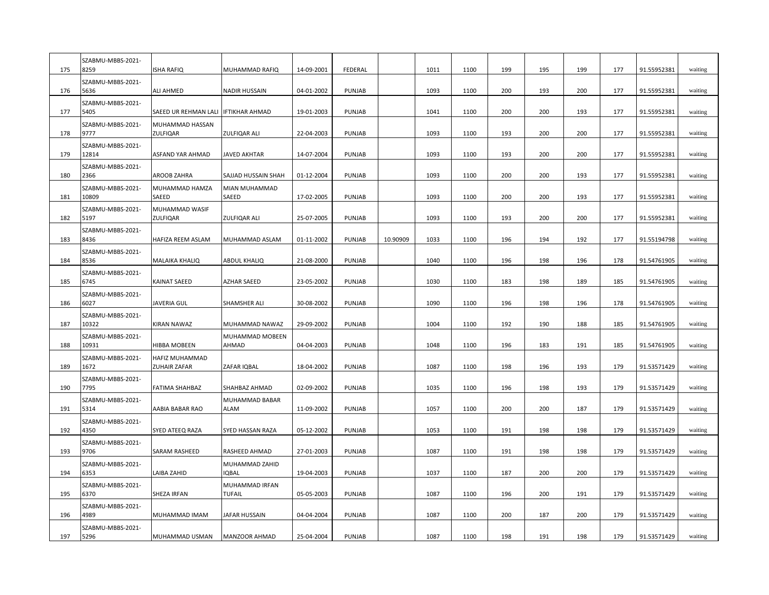| 175        | SZABMU-MBBS-2021-<br>8259  | <b>ISHA RAFIQ</b>                            | MUHAMMAD RAFIQ                  | 14-09-2001 | FEDERAL       |          | 1011 | 1100         | 199 | 195        | 199 | 177 | 91.55952381 | waiting            |
|------------|----------------------------|----------------------------------------------|---------------------------------|------------|---------------|----------|------|--------------|-----|------------|-----|-----|-------------|--------------------|
| 176        | SZABMU-MBBS-2021-<br>5636  | ALI AHMED                                    | NADIR HUSSAIN                   | 04-01-2002 | PUNJAB        |          | 1093 | 1100         | 200 | 193        | 200 | 177 | 91.55952381 | waiting            |
| 177        | SZABMU-MBBS-2021-<br>5405  | SAEED UR REHMAN LALI                         | <b>IFTIKHAR AHMAD</b>           | 19-01-2003 | PUNJAB        |          | 1041 | 1100         | 200 | 200        | 193 | 177 | 91.55952381 | waiting            |
| 178        | SZABMU-MBBS-2021-<br>9777  | MUHAMMAD HASSAN<br>ZULFIQAR                  | ZULFIQAR ALI                    | 22-04-2003 | PUNJAB        |          | 1093 | 1100         | 193 | 200        | 200 | 177 | 91.55952381 | waiting            |
| 179        | SZABMU-MBBS-2021-<br>12814 | ASFAND YAR AHMAD                             | JAVED AKHTAR                    | 14-07-2004 | PUNJAB        |          | 1093 | 1100         | 193 | 200        | 200 | 177 | 91.55952381 | waiting            |
| 180        | SZABMU-MBBS-2021-<br>2366  | AROOB ZAHRA                                  | SAJJAD HUSSAIN SHAH             | 01-12-2004 | PUNJAB        |          | 1093 | 1100         | 200 | 200        | 193 | 177 | 91.55952381 | waiting            |
| 181        | SZABMU-MBBS-2021-<br>10809 | MUHAMMAD HAMZA<br>SAEED                      | MIAN MUHAMMAD<br>SAEED          | 17-02-2005 | PUNJAB        |          | 1093 | 1100         | 200 | 200        | 193 | 177 | 91.55952381 | waiting            |
| 182        | SZABMU-MBBS-2021-<br>5197  | MUHAMMAD WASIF<br><b>ZULFIQAR</b>            | ZULFIQAR ALI                    | 25-07-2005 | PUNJAB        |          | 1093 | 1100         | 193 | 200        | 200 | 177 | 91.55952381 | waiting            |
| 183        | SZABMU-MBBS-2021-<br>8436  | HAFIZA REEM ASLAM                            | MUHAMMAD ASLAM                  | 01-11-2002 | PUNJAB        | 10.90909 | 1033 | 1100         | 196 | 194        | 192 | 177 | 91.55194798 | waiting            |
| 184        | SZABMU-MBBS-2021-<br>8536  | <b>MALAIKA KHALIQ</b>                        | ABDUL KHALIQ                    | 21-08-2000 | PUNJAB        |          | 1040 | 1100         | 196 | 198        | 196 | 178 | 91.54761905 | waiting            |
| 185        | SZABMU-MBBS-2021-<br>6745  | <b>KAINAT SAEED</b>                          | AZHAR SAEED                     | 23-05-2002 | PUNJAB        |          | 1030 | 1100         | 183 | 198        | 189 | 185 | 91.54761905 | waiting            |
| 186        | SZABMU-MBBS-2021-<br>6027  | <b>JAVERIA GUL</b>                           | SHAMSHER ALI                    | 30-08-2002 | PUNJAB        |          | 1090 | 1100         | 196 | 198        | 196 | 178 | 91.54761905 | waiting            |
| 187        | SZABMU-MBBS-2021-<br>10322 | KIRAN NAWAZ                                  | MUHAMMAD NAWAZ                  | 29-09-2002 | PUNJAB        |          | 1004 | 1100         | 192 | 190        | 188 | 185 | 91.54761905 | waiting            |
| 188        | SZABMU-MBBS-2021-<br>10931 | <b>HIBBA MOBEEN</b>                          | MUHAMMAD MOBEEN<br>AHMAD        | 04-04-2003 | PUNJAB        |          | 1048 | 1100         | 196 | 183        | 191 | 185 | 91.54761905 | waiting            |
| 189        | SZABMU-MBBS-2021-<br>1672  | <b>HAFIZ MUHAMMAD</b><br><b>ZUHAIR ZAFAR</b> | ZAFAR IQBAL                     | 18-04-2002 | PUNJAB        |          | 1087 | 1100         | 198 | 196        | 193 | 179 | 91.53571429 | waiting            |
| 190        | SZABMU-MBBS-2021-<br>7795  | FATIMA SHAHBAZ                               | SHAHBAZ AHMAD                   | 02-09-2002 | PUNJAB        |          | 1035 | 1100         | 196 | 198        | 193 | 179 | 91.53571429 | waiting            |
| 191        | SZABMU-MBBS-2021-<br>5314  | AABIA BABAR RAO                              | MUHAMMAD BABAR<br><b>ALAM</b>   | 11-09-2002 | PUNJAB        |          | 1057 | 1100         | 200 | 200        | 187 | 179 | 91.53571429 | waiting            |
| 192        | SZABMU-MBBS-2021-<br>4350  | SYED ATEEQ RAZA                              | SYED HASSAN RAZA                | 05-12-2002 | PUNJAB        |          | 1053 | 1100         | 191 | 198        | 198 | 179 | 91.53571429 | waiting            |
| 193        | SZABMU-MBBS-2021-<br>9706  | SARAM RASHEED                                | RASHEED AHMAD                   | 27-01-2003 | PUNJAB        |          | 1087 | 1100         | 191 | 198        | 198 | 179 | 91.53571429 | waiting            |
| 194        | SZABMU-MBBS-2021-<br>6353  | LAIBA ZAHID                                  | MUHAMMAD ZAHID<br><b>IQBAL</b>  | 19-04-2003 | PUNJAB        |          | 1037 | 1100         | 187 | 200        | 200 | 179 | 91.53571429 | waiting            |
| 195        | SZABMU-MBBS-2021-<br>6370  | SHEZA IRFAN                                  | MUHAMMAD IRFAN<br><b>TUFAIL</b> | 05-05-2003 | PUNJAB        |          | 1087 | 1100         | 196 | 200        | 191 | 179 | 91.53571429 | waiting            |
|            | SZABMU-MBBS-2021-<br>4989  |                                              |                                 |            | PUNJAB        |          | 1087 |              | 200 |            | 200 | 179 |             |                    |
| 196<br>197 | SZABMU-MBBS-2021-<br>5296  | MUHAMMAD IMAM                                | JAFAR HUSSAIN                   | 04-04-2004 | <b>PUNJAB</b> |          | 1087 | 1100<br>1100 | 198 | 187<br>191 | 198 |     | 91.53571429 | waiting<br>waiting |
|            |                            | MUHAMMAD USMAN                               | MANZOOR AHMAD                   | 25-04-2004 |               |          |      |              |     |            |     | 179 | 91.53571429 |                    |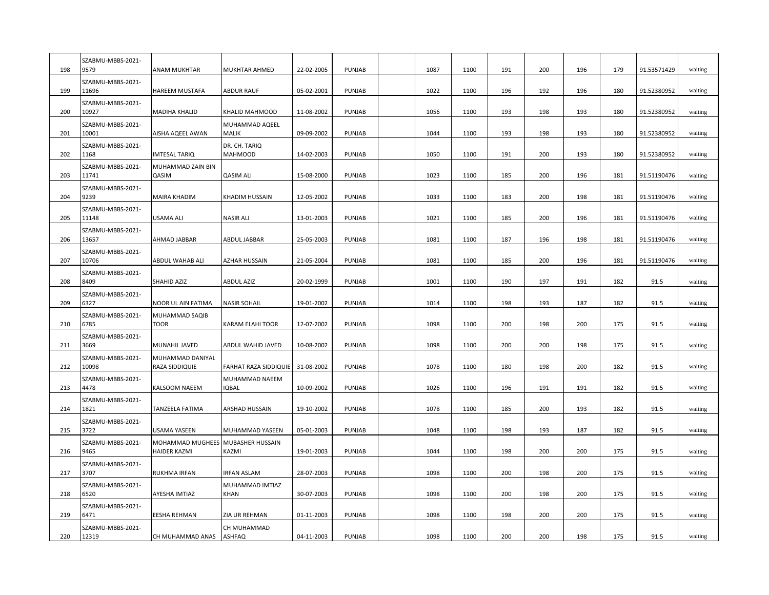| 198 | SZABMU-MBBS-2021-<br>9579  | ANAM MUKHTAR                                   | MUKHTAR AHMED                    | 22-02-2005 | PUNJAB        | 1087 | 1100 | 191 | 200 | 196 | 179 | 91.53571429 | waiting |
|-----|----------------------------|------------------------------------------------|----------------------------------|------------|---------------|------|------|-----|-----|-----|-----|-------------|---------|
| 199 | SZABMU-MBBS-2021-<br>11696 | <b>HAREEM MUSTAFA</b>                          | ABDUR RAUF                       | 05-02-2001 | PUNJAB        | 1022 | 1100 | 196 | 192 | 196 | 180 | 91.52380952 | waiting |
| 200 | SZABMU-MBBS-2021-<br>10927 | <b>MADIHA KHALID</b>                           | KHALID MAHMOOD                   | 11-08-2002 | PUNJAB        | 1056 | 1100 | 193 | 198 | 193 | 180 | 91.52380952 | waiting |
| 201 | SZABMU-MBBS-2021-<br>10001 | AISHA AQEEL AWAN                               | MUHAMMAD AQEEL<br>MALIK          | 09-09-2002 | PUNJAB        | 1044 | 1100 | 193 | 198 | 193 | 180 | 91.52380952 | waiting |
| 202 | SZABMU-MBBS-2021-<br>1168  | <b>IMTESAL TARIQ</b>                           | DR. CH. TARIQ<br><b>MAHMOOD</b>  | 14-02-2003 | PUNJAB        | 1050 | 1100 | 191 | 200 | 193 | 180 | 91.52380952 | waiting |
| 203 | SZABMU-MBBS-2021-<br>11741 | MUHAMMAD ZAIN BIN<br>QASIM                     | <b>QASIM ALI</b>                 | 15-08-2000 | PUNJAB        | 1023 | 1100 | 185 | 200 | 196 | 181 | 91.51190476 | waiting |
| 204 | SZABMU-MBBS-2021-<br>9239  | <b>MAIRA KHADIM</b>                            | KHADIM HUSSAIN                   | 12-05-2002 | PUNJAB        | 1033 | 1100 | 183 | 200 | 198 | 181 | 91.51190476 | waiting |
| 205 | SZABMU-MBBS-2021-<br>11148 | <b>USAMA ALI</b>                               | <b>NASIR ALI</b>                 | 13-01-2003 | PUNJAB        | 1021 | 1100 | 185 | 200 | 196 | 181 | 91.51190476 | waiting |
| 206 | SZABMU-MBBS-2021-<br>13657 | AHMAD JABBAR                                   | ABDUL JABBAR                     | 25-05-2003 | PUNJAB        | 1081 | 1100 | 187 | 196 | 198 | 181 | 91.51190476 | waiting |
| 207 | SZABMU-MBBS-2021-<br>10706 | ABDUL WAHAB ALI                                | AZHAR HUSSAIN                    | 21-05-2004 | PUNJAB        | 1081 | 1100 | 185 | 200 | 196 | 181 | 91.51190476 | waiting |
| 208 | SZABMU-MBBS-2021-<br>8409  | SHAHID AZIZ                                    | ABDUL AZIZ                       | 20-02-1999 | PUNJAB        | 1001 | 1100 | 190 | 197 | 191 | 182 | 91.5        | waiting |
| 209 | SZABMU-MBBS-2021-<br>6327  | NOOR UL AIN FATIMA                             | NASIR SOHAIL                     | 19-01-2002 | PUNJAB        | 1014 | 1100 | 198 | 193 | 187 | 182 | 91.5        | waiting |
| 210 | SZABMU-MBBS-2021-<br>6785  | MUHAMMAD SAQIB<br><b>TOOR</b>                  | KARAM ELAHI TOOR                 | 12-07-2002 | PUNJAB        | 1098 | 1100 | 200 | 198 | 200 | 175 | 91.5        | waiting |
| 211 | SZABMU-MBBS-2021-<br>3669  | MUNAHIL JAVED                                  | ABDUL WAHID JAVED                | 10-08-2002 | PUNJAB        | 1098 | 1100 | 200 | 200 | 198 | 175 | 91.5        | waiting |
| 212 | SZABMU-MBBS-2021-<br>10098 | MUHAMMAD DANIYAL<br>RAZA SIDDIQUIE             | FARHAT RAZA SIDDIQUIE            | 31-08-2002 | PUNJAB        | 1078 | 1100 | 180 | 198 | 200 | 182 | 91.5        | waiting |
| 213 | SZABMU-MBBS-2021-<br>4478  | KALSOOM NAEEM                                  | MUHAMMAD NAEEM<br><b>IQBAL</b>   | 10-09-2002 | PUNJAB        | 1026 | 1100 | 196 | 191 | 191 | 182 | 91.5        | waiting |
| 214 | SZABMU-MBBS-2021-<br>1821  | TANZEELA FATIMA                                | ARSHAD HUSSAIN                   | 19-10-2002 | PUNJAB        | 1078 | 1100 | 185 | 200 | 193 | 182 | 91.5        | waiting |
| 215 | SZABMU-MBBS-2021-<br>3722  | <b>USAMA YASEEN</b>                            | MUHAMMAD YASEEN                  | 05-01-2003 | PUNJAB        | 1048 | 1100 | 198 | 193 | 187 | 182 | 91.5        | waiting |
| 216 | SZABMU-MBBS-2021-<br>9465  | <b>MOHAMMAD MUGHEES</b><br><b>HAIDER KAZMI</b> | <b>MUBASHER HUSSAIN</b><br>KAZMI | 19-01-2003 | PUNJAB        | 1044 | 1100 | 198 | 200 | 200 | 175 | 91.5        | waiting |
| 217 | SZABMU-MBBS-2021-<br>3707  | <b>RUKHMA IRFAN</b>                            | <b>IRFAN ASLAM</b>               | 28-07-2003 | PUNJAB        | 1098 | 1100 | 200 | 198 | 200 | 175 | 91.5        | waiting |
| 218 | SZABMU-MBBS-2021-<br>6520  | AYESHA IMTIAZ                                  | MUHAMMAD IMTIAZ<br>KHAN          | 30-07-2003 | PUNJAB        | 1098 | 1100 | 200 | 198 | 200 | 175 | 91.5        | waiting |
| 219 | SZABMU-MBBS-2021-<br>6471  | <b>EESHA REHMAN</b>                            | ZIA UR REHMAN                    |            | PUNJAB        | 1098 | 1100 | 198 | 200 | 200 |     | 91.5        |         |
|     | SZABMU-MBBS-2021-          |                                                | CH MUHAMMAD                      | 01-11-2003 |               |      |      |     |     |     | 175 |             | waiting |
| 220 | 12319                      | CH MUHAMMAD ANAS                               | <b>ASHFAQ</b>                    | 04-11-2003 | <b>PUNJAB</b> | 1098 | 1100 | 200 | 200 | 198 | 175 | 91.5        | waiting |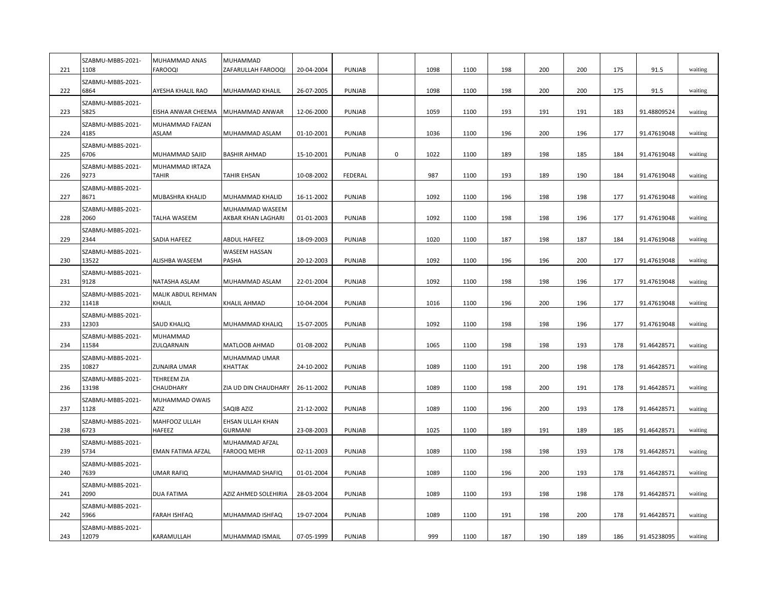| 221 | SZABMU-MBBS-2021-<br>1108  | MUHAMMAD ANAS<br><b>FAROOQI</b> | MUHAMMAD<br>ZAFARULLAH FAROOQI        | 20-04-2004 | PUNJAB        |   | 1098 | 1100 | 198 | 200 | 200 | 175 | 91.5        | waiting |
|-----|----------------------------|---------------------------------|---------------------------------------|------------|---------------|---|------|------|-----|-----|-----|-----|-------------|---------|
| 222 | SZABMU-MBBS-2021-<br>6864  | AYESHA KHALIL RAO               | MUHAMMAD KHALIL                       | 26-07-2005 | PUNJAB        |   | 1098 | 1100 | 198 | 200 | 200 | 175 | 91.5        | waiting |
| 223 | SZABMU-MBBS-2021-<br>5825  | EISHA ANWAR CHEEMA              | MUHAMMAD ANWAR                        | 12-06-2000 | PUNJAB        |   | 1059 | 1100 | 193 | 191 | 191 | 183 | 91.48809524 | waiting |
| 224 | SZABMU-MBBS-2021-<br>4185  | MUHAMMAD FAIZAN<br>ASLAM        | MUHAMMAD ASLAM                        | 01-10-2001 | PUNJAB        |   | 1036 | 1100 | 196 | 200 | 196 | 177 | 91.47619048 | waiting |
| 225 | SZABMU-MBBS-2021-<br>6706  | MUHAMMAD SAJID                  | <b>BASHIR AHMAD</b>                   | 15-10-2001 | PUNJAB        | 0 | 1022 | 1100 | 189 | 198 | 185 | 184 | 91.47619048 | waiting |
| 226 | SZABMU-MBBS-2021-<br>9273  | MUHAMMAD IRTAZA<br><b>TAHIR</b> | <b>TAHIR EHSAN</b>                    | 10-08-2002 | FEDERAL       |   | 987  | 1100 | 193 | 189 | 190 | 184 | 91.47619048 | waiting |
| 227 | SZABMU-MBBS-2021-<br>8671  | MUBASHRA KHALID                 | MUHAMMAD KHALID                       | 16-11-2002 | PUNJAB        |   | 1092 | 1100 | 196 | 198 | 198 | 177 | 91.47619048 | waiting |
| 228 | SZABMU-MBBS-2021-<br>2060  | TALHA WASEEM                    | MUHAMMAD WASEEM<br>AKBAR KHAN LAGHARI | 01-01-2003 | PUNJAB        |   | 1092 | 1100 | 198 | 198 | 196 | 177 | 91.47619048 | waiting |
| 229 | SZABMU-MBBS-2021-<br>2344  | SADIA HAFEEZ                    | <b>ABDUL HAFEEZ</b>                   | 18-09-2003 | PUNJAB        |   | 1020 | 1100 | 187 | 198 | 187 | 184 | 91.47619048 | waiting |
| 230 | SZABMU-MBBS-2021-<br>13522 | ALISHBA WASEEM                  | <b>WASEEM HASSAN</b><br>PASHA         | 20-12-2003 | PUNJAB        |   | 1092 | 1100 | 196 | 196 | 200 | 177 | 91.47619048 | waiting |
| 231 | SZABMU-MBBS-2021-<br>9128  | NATASHA ASLAM                   | MUHAMMAD ASLAM                        | 22-01-2004 | PUNJAB        |   | 1092 | 1100 | 198 | 198 | 196 | 177 | 91.47619048 | waiting |
| 232 | SZABMU-MBBS-2021-<br>11418 | MALIK ABDUL REHMAN<br>KHALIL    | KHALIL AHMAD                          | 10-04-2004 | PUNJAB        |   | 1016 | 1100 | 196 | 200 | 196 | 177 | 91.47619048 | waiting |
| 233 | SZABMU-MBBS-2021-<br>12303 | <b>SAUD KHALIQ</b>              | MUHAMMAD KHALIQ                       | 15-07-2005 | PUNJAB        |   | 1092 | 1100 | 198 | 198 | 196 | 177 | 91.47619048 | waiting |
| 234 | SZABMU-MBBS-2021-<br>11584 | MUHAMMAD<br>ZULQARNAIN          | MATLOOB AHMAD                         | 01-08-2002 | PUNJAB        |   | 1065 | 1100 | 198 | 198 | 193 | 178 | 91.46428571 | waiting |
| 235 | SZABMU-MBBS-2021-<br>10827 | ZUNAIRA UMAR                    | MUHAMMAD UMAR<br>KHATTAK              | 24-10-2002 | PUNJAB        |   | 1089 | 1100 | 191 | 200 | 198 | 178 | 91.46428571 | waiting |
| 236 | SZABMU-MBBS-2021-<br>13198 | <b>TEHREEM ZIA</b><br>CHAUDHARY | ZIA UD DIN CHAUDHARY                  | 26-11-2002 | PUNJAB        |   | 1089 | 1100 | 198 | 200 | 191 | 178 | 91.46428571 | waiting |
| 237 | SZABMU-MBBS-2021-<br>1128  | MUHAMMAD OWAIS<br>AZIZ          | SAQIB AZIZ                            | 21-12-2002 | PUNJAB        |   | 1089 | 1100 | 196 | 200 | 193 | 178 | 91.46428571 | waiting |
| 238 | SZABMU-MBBS-2021-<br>6723  | MAHFOOZ ULLAH<br>HAFEEZ         | EHSAN ULLAH KHAN<br><b>GURMANI</b>    | 23-08-2003 | PUNJAB        |   | 1025 | 1100 | 189 | 191 | 189 | 185 | 91.46428571 | waiting |
| 239 | SZABMU-MBBS-2021-<br>5734  | EMAN FATIMA AFZAL               | MUHAMMAD AFZAL<br>FAROOQ MEHR         | 02-11-2003 | PUNJAB        |   | 1089 | 1100 | 198 | 198 | 193 | 178 | 91.46428571 | waiting |
| 240 | SZABMU-MBBS-2021-<br>7639  | <b>UMAR RAFIQ</b>               | MUHAMMAD SHAFIQ                       | 01-01-2004 | PUNJAB        |   | 1089 | 1100 | 196 | 200 | 193 | 178 | 91.46428571 | waiting |
| 241 | SZABMU-MBBS-2021-<br>2090  | DUA FATIMA                      | AZIZ AHMED SOLEHIRIA                  | 28-03-2004 | PUNJAB        |   | 1089 | 1100 | 193 | 198 | 198 | 178 | 91.46428571 | waiting |
| 242 | SZABMU-MBBS-2021-<br>5966  | <b>FARAH ISHFAQ</b>             | MUHAMMAD ISHFAQ                       | 19-07-2004 | PUNJAB        |   | 1089 | 1100 | 191 | 198 | 200 | 178 | 91.46428571 | waiting |
| 243 | SZABMU-MBBS-2021-<br>12079 | KARAMULLAH                      | MUHAMMAD ISMAIL                       | 07-05-1999 | <b>PUNJAB</b> |   | 999  | 1100 | 187 | 190 | 189 | 186 | 91.45238095 | waiting |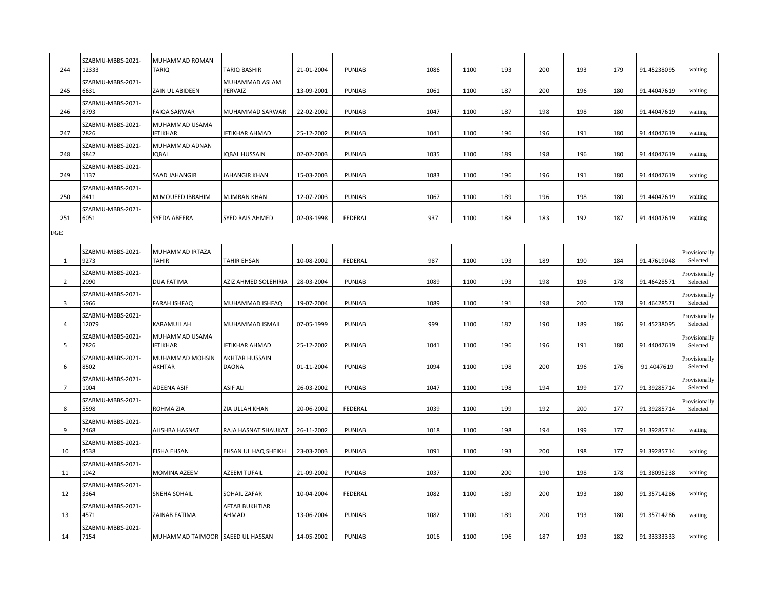| 244            | SZABMU-MBBS-2021-<br>12333 | MUHAMMAD ROMAN<br><b>TARIQ</b>    | <b>TARIQ BASHIR</b>            | 21-01-2004 | PUNJAB        | 1086 | 1100 | 193 | 200 | 193 | 179 | 91.45238095 | waiting                   |
|----------------|----------------------------|-----------------------------------|--------------------------------|------------|---------------|------|------|-----|-----|-----|-----|-------------|---------------------------|
| 245            | SZABMU-MBBS-2021-<br>6631  | <b>ZAIN UL ABIDEEN</b>            | MUHAMMAD ASLAM<br>PERVAIZ      | 13-09-2001 | PUNJAB        | 1061 | 1100 | 187 | 200 | 196 | 180 | 91.44047619 | waiting                   |
| 246            | SZABMU-MBBS-2021-<br>8793  | <b>FAIQA SARWAR</b>               | MUHAMMAD SARWAR                | 22-02-2002 | PUNJAB        | 1047 | 1100 | 187 | 198 | 198 | 180 | 91.44047619 | waiting                   |
| 247            | SZABMU-MBBS-2021-<br>7826  | MUHAMMAD USAMA<br><b>IFTIKHAR</b> | IFTIKHAR AHMAD                 | 25-12-2002 | PUNJAB        | 1041 | 1100 | 196 | 196 | 191 | 180 | 91.44047619 | waiting                   |
| 248            | SZABMU-MBBS-2021-<br>9842  | MUHAMMAD ADNAN<br>IQBAL           | <b>IQBAL HUSSAIN</b>           | 02-02-2003 | PUNJAB        | 1035 | 1100 | 189 | 198 | 196 | 180 | 91.44047619 | waiting                   |
| 249            | SZABMU-MBBS-2021-<br>1137  | <b>SAAD JAHANGIR</b>              | JAHANGIR KHAN                  | 15-03-2003 | PUNJAB        | 1083 | 1100 | 196 | 196 | 191 | 180 | 91.44047619 | waiting                   |
| 250            | SZABMU-MBBS-2021-<br>8411  | M.MOUEED IBRAHIM                  | M.IMRAN KHAN                   | 12-07-2003 | PUNJAB        | 1067 | 1100 | 189 | 196 | 198 | 180 | 91.44047619 | waiting                   |
| 251            | SZABMU-MBBS-2021-<br>6051  | SYEDA ABEERA                      | SYED RAIS AHMED                | 02-03-1998 | FEDERAL       | 937  | 1100 | 188 | 183 | 192 | 187 | 91.44047619 | waiting                   |
| FGE            |                            |                                   |                                |            |               |      |      |     |     |     |     |             |                           |
| 1              | SZABMU-MBBS-2021-<br>9273  | MUHAMMAD IRTAZA<br><b>TAHIR</b>   | <b>TAHIR EHSAN</b>             | 10-08-2002 | FEDERAL       | 987  | 1100 | 193 | 189 | 190 | 184 | 91.47619048 | Provisionally<br>Selected |
| $\overline{2}$ | SZABMU-MBBS-2021-<br>2090  | <b>DUA FATIMA</b>                 | AZIZ AHMED SOLEHIRIA           | 28-03-2004 | PUNJAB        | 1089 | 1100 | 193 | 198 | 198 | 178 | 91.46428571 | Provisionally<br>Selected |
| 3              | SZABMU-MBBS-2021-<br>5966  | <b>FARAH ISHFAQ</b>               | MUHAMMAD ISHFAQ                | 19-07-2004 | PUNJAB        | 1089 | 1100 | 191 | 198 | 200 | 178 | 91.46428571 | Provisionally<br>Selected |
| $\overline{4}$ | SZABMU-MBBS-2021-<br>12079 | KARAMULLAH                        | MUHAMMAD ISMAIL                | 07-05-1999 | PUNJAB        | 999  | 1100 | 187 | 190 | 189 | 186 | 91.45238095 | Provisionally<br>Selected |
| 5              | SZABMU-MBBS-2021-<br>7826  | MUHAMMAD USAMA<br><b>IFTIKHAR</b> | <b>IFTIKHAR AHMAD</b>          | 25-12-2002 | PUNJAB        | 1041 | 1100 | 196 | 196 | 191 | 180 | 91.44047619 | Provisionally<br>Selected |
| 6              | SZABMU-MBBS-2021-<br>8502  | MUHAMMAD MOHSIN<br><b>AKHTAR</b>  | AKHTAR HUSSAIN<br><b>DAONA</b> | 01-11-2004 | PUNJAB        | 1094 | 1100 | 198 | 200 | 196 | 176 | 91.4047619  | Provisionally<br>Selected |
| $\overline{7}$ | SZABMU-MBBS-2021-<br>1004  | <b>ADEENA ASIF</b>                | <b>ASIF ALI</b>                | 26-03-2002 | PUNJAB        | 1047 | 1100 | 198 | 194 | 199 | 177 | 91.39285714 | Provisionally<br>Selected |
| 8              | SZABMU-MBBS-2021-<br>5598  | ROHMA ZIA                         | ZIA ULLAH KHAN                 | 20-06-2002 | FEDERAL       | 1039 | 1100 | 199 | 192 | 200 | 177 | 91.39285714 | Provisionally<br>Selected |
| 9              | SZABMU-MBBS-2021-<br>2468  | <b>ALISHBA HASNAT</b>             | RAJA HASNAT SHAUKAT            | 26-11-2002 | PUNJAB        | 1018 | 1100 | 198 | 194 | 199 | 177 | 91.39285714 | waiting                   |
| 10             | SZABMU-MBBS-2021-<br>4538  | <b>EISHA EHSAN</b>                | EHSAN UL HAQ SHEIKH            | 23-03-2003 | PUNJAB        | 1091 | 1100 | 193 | 200 | 198 | 177 | 91.39285714 | waiting                   |
| 11             | SZABMU-MBBS-2021-<br>1042  | <b>MOMINA AZEEM</b>               | AZEEM TUFAIL                   | 21-09-2002 | PUNJAB        | 1037 | 1100 | 200 | 190 | 198 | 178 | 91.38095238 | waiting                   |
| 12             | SZABMU-MBBS-2021-<br>3364  | <b>SNEHA SOHAIL</b>               | SOHAIL ZAFAR                   | 10-04-2004 | FEDERAL       | 1082 | 1100 | 189 | 200 | 193 | 180 | 91.35714286 | waiting                   |
| 13             | SZABMU-MBBS-2021-<br>4571  | ZAINAB FATIMA                     | AFTAB BUKHTIAR<br>AHMAD        | 13-06-2004 | PUNJAB        | 1082 | 1100 | 189 | 200 | 193 | 180 | 91.35714286 | waiting                   |
| 14             | SZABMU-MBBS-2021-<br>7154  | MUHAMMAD TAIMOOR SAEED UL HASSAN  |                                | 14-05-2002 | <b>PUNJAB</b> | 1016 | 1100 | 196 | 187 | 193 | 182 | 91.33333333 | waiting                   |
|                |                            |                                   |                                |            |               |      |      |     |     |     |     |             |                           |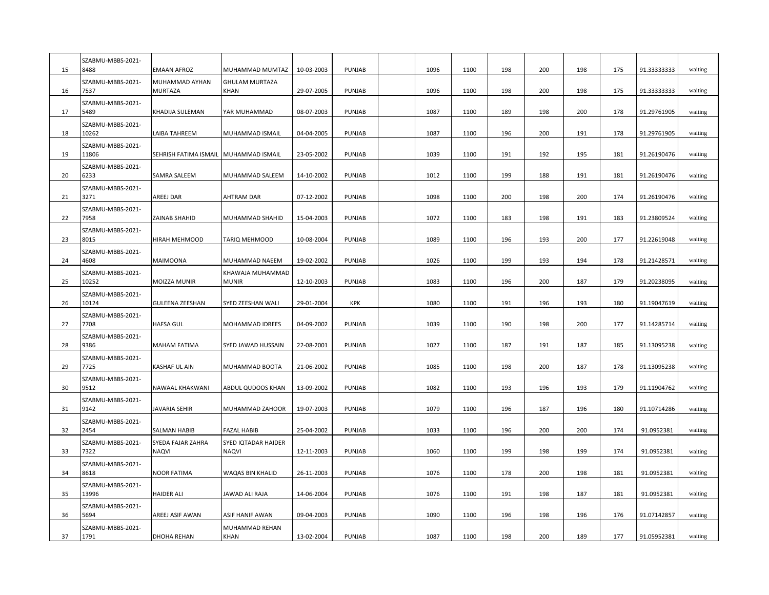| 15 | SZABMU-MBBS-2021-<br>8488  | <b>EMAAN AFROZ</b>                | MUHAMMAD MUMTAZ                     | 10-03-2003 | PUNJAB        | 1096 | 1100 | 198 | 200 | 198 | 175 | 91.33333333 | waiting |
|----|----------------------------|-----------------------------------|-------------------------------------|------------|---------------|------|------|-----|-----|-----|-----|-------------|---------|
| 16 | SZABMU-MBBS-2021-<br>7537  | MUHAMMAD AYHAN<br><b>MURTAZA</b>  | <b>GHULAM MURTAZA</b><br>KHAN       | 29-07-2005 | PUNJAB        | 1096 | 1100 | 198 | 200 | 198 | 175 | 91.33333333 | waiting |
| 17 | SZABMU-MBBS-2021-<br>5489  | KHADIJA SULEMAN                   | YAR MUHAMMAD                        | 08-07-2003 | PUNJAB        | 1087 | 1100 | 189 | 198 | 200 | 178 | 91.29761905 | waiting |
| 18 | SZABMU-MBBS-2021-<br>10262 | LAIBA TAHREEM                     | MUHAMMAD ISMAIL                     | 04-04-2005 | PUNJAB        | 1087 | 1100 | 196 | 200 | 191 | 178 | 91.29761905 | waiting |
| 19 | SZABMU-MBBS-2021-<br>11806 | SEHRISH FATIMA ISMAIL             | MUHAMMAD ISMAIL                     | 23-05-2002 | PUNJAB        | 1039 | 1100 | 191 | 192 | 195 | 181 | 91.26190476 | waiting |
| 20 | SZABMU-MBBS-2021-<br>6233  | SAMRA SALEEM                      | MUHAMMAD SALEEM                     | 14-10-2002 | PUNJAB        | 1012 | 1100 | 199 | 188 | 191 | 181 | 91.26190476 | waiting |
| 21 | SZABMU-MBBS-2021-<br>3271  | AREEJ DAR                         | AHTRAM DAR                          | 07-12-2002 | PUNJAB        | 1098 | 1100 | 200 | 198 | 200 | 174 | 91.26190476 | waiting |
| 22 | SZABMU-MBBS-2021-<br>7958  | ZAINAB SHAHID                     | MUHAMMAD SHAHID                     | 15-04-2003 | PUNJAB        | 1072 | 1100 | 183 | 198 | 191 | 183 | 91.23809524 | waiting |
| 23 | SZABMU-MBBS-2021-<br>8015  | HIRAH MEHMOOD                     | TARIQ MEHMOOD                       | 10-08-2004 | PUNJAB        | 1089 | 1100 | 196 | 193 | 200 | 177 | 91.22619048 | waiting |
| 24 | SZABMU-MBBS-2021-<br>4608  | <b>MAIMOONA</b>                   | MUHAMMAD NAEEM                      | 19-02-2002 | PUNJAB        | 1026 | 1100 | 199 | 193 | 194 | 178 | 91.21428571 | waiting |
| 25 | SZABMU-MBBS-2021-<br>10252 | <b>MOIZZA MUNIR</b>               | KHAWAJA MUHAMMAD<br>MUNIR           | 12-10-2003 | PUNJAB        | 1083 | 1100 | 196 | 200 | 187 | 179 | 91.20238095 | waiting |
| 26 | SZABMU-MBBS-2021-<br>10124 | <b>GULEENA ZEESHAN</b>            | SYED ZEESHAN WALI                   | 29-01-2004 | <b>KPK</b>    | 1080 | 1100 | 191 | 196 | 193 | 180 | 91.19047619 | waiting |
| 27 | SZABMU-MBBS-2021-<br>7708  | <b>HAFSA GUL</b>                  | MOHAMMAD IDREES                     | 04-09-2002 | PUNJAB        | 1039 | 1100 | 190 | 198 | 200 | 177 | 91.14285714 | waiting |
| 28 | SZABMU-MBBS-2021-<br>9386  | <b>MAHAM FATIMA</b>               | SYED JAWAD HUSSAIN                  | 22-08-2001 | PUNJAB        | 1027 | 1100 | 187 | 191 | 187 | 185 | 91.13095238 | waiting |
| 29 | SZABMU-MBBS-2021-<br>7725  | KASHAF UL AIN                     | MUHAMMAD BOOTA                      | 21-06-2002 | PUNJAB        | 1085 | 1100 | 198 | 200 | 187 | 178 | 91.13095238 | waiting |
| 30 | SZABMU-MBBS-2021-<br>9512  | NAWAAL KHAKWANI                   | ABDUL QUDOOS KHAN                   | 13-09-2002 | PUNJAB        | 1082 | 1100 | 193 | 196 | 193 | 179 | 91.11904762 | waiting |
| 31 | SZABMU-MBBS-2021-<br>9142  | <b>JAVARIA SEHIR</b>              | MUHAMMAD ZAHOOR                     | 19-07-2003 | PUNJAB        | 1079 | 1100 | 196 | 187 | 196 | 180 | 91.10714286 | waiting |
| 32 | SZABMU-MBBS-2021-<br>2454  | <b>SALMAN HABIB</b>               | <b>FAZAL HABIB</b>                  | 25-04-2002 | PUNJAB        | 1033 | 1100 | 196 | 200 | 200 | 174 | 91.0952381  | waiting |
| 33 | SZABMU-MBBS-2021-<br>7322  | SYEDA FAJAR ZAHRA<br><b>NAQVI</b> | <b>SYED IQTADAR HAIDER</b><br>NAQVI | 12-11-2003 | PUNJAB        | 1060 | 1100 | 199 | 198 | 199 | 174 | 91.0952381  | waiting |
| 34 | SZABMU-MBBS-2021-<br>8618  | <b>NOOR FATIMA</b>                | WAQAS BIN KHALID                    | 26-11-2003 | <b>PUNJAB</b> | 1076 | 1100 | 178 | 200 | 198 | 181 | 91.0952381  | waiting |
| 35 | SZABMU-MBBS-2021-<br>13996 | <b>HAIDER ALI</b>                 | JAWAD ALI RAJA                      | 14-06-2004 | PUNJAB        | 1076 | 1100 | 191 | 198 | 187 | 181 | 91.0952381  | waiting |
| 36 | SZABMU-MBBS-2021-<br>5694  | AREEJ ASIF AWAN                   | ASIF HANIF AWAN                     | 09-04-2003 | PUNJAB        | 1090 | 1100 | 196 | 198 | 196 | 176 | 91.07142857 | waiting |
| 37 | SZABMU-MBBS-2021-<br>1791  | <b>DHOHA REHAN</b>                | MUHAMMAD REHAN<br>KHAN              | 13-02-2004 | <b>PUNJAB</b> | 1087 | 1100 | 198 | 200 | 189 | 177 | 91.05952381 | waiting |